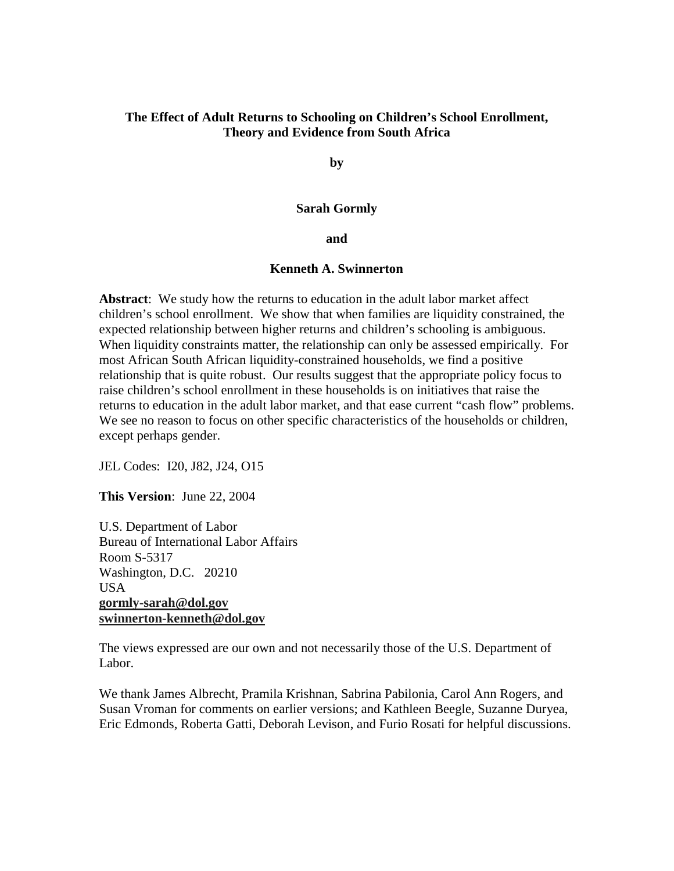# **The Effect of Adult Returns to Schooling on Children's School Enrollment, Theory and Evidence from South Africa**

**by** 

### **Sarah Gormly**

**and** 

# **Kenneth A. Swinnerton**

**Abstract**: We study how the returns to education in the adult labor market affect children's school enrollment. We show that when families are liquidity constrained, the expected relationship between higher returns and children's schooling is ambiguous. When liquidity constraints matter, the relationship can only be assessed empirically. For most African South African liquidity-constrained households, we find a positive relationship that is quite robust. Our results suggest that the appropriate policy focus to raise children's school enrollment in these households is on initiatives that raise the returns to education in the adult labor market, and that ease current "cash flow" problems. We see no reason to focus on other specific characteristics of the households or children, except perhaps gender.

JEL Codes: I20, J82, J24, O15

**This Version**: June 22, 2004

U.S. Department of Labor Bureau of International Labor Affairs Room S-5317 Washington, D.C. 20210 USA **gormly-sarah@dol.gov swinnerton-kenneth@dol.gov**

The views expressed are our own and not necessarily those of the U.S. Department of Labor.

We thank James Albrecht, Pramila Krishnan, Sabrina Pabilonia, Carol Ann Rogers, and Susan Vroman for comments on earlier versions; and Kathleen Beegle, Suzanne Duryea, Eric Edmonds, Roberta Gatti, Deborah Levison, and Furio Rosati for helpful discussions.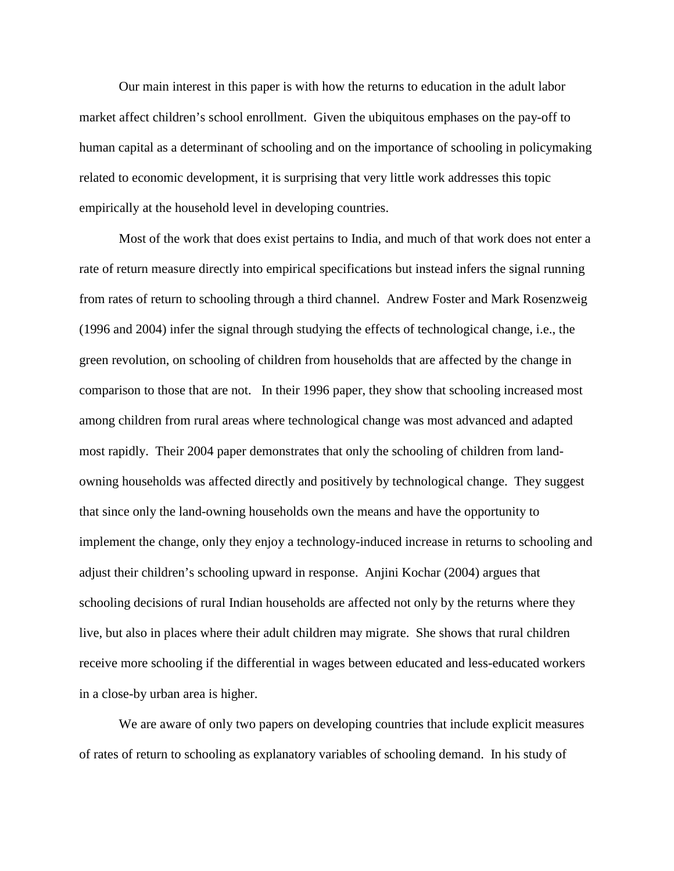Our main interest in this paper is with how the returns to education in the adult labor market affect children's school enrollment. Given the ubiquitous emphases on the pay-off to human capital as a determinant of schooling and on the importance of schooling in policymaking related to economic development, it is surprising that very little work addresses this topic empirically at the household level in developing countries.

Most of the work that does exist pertains to India, and much of that work does not enter a rate of return measure directly into empirical specifications but instead infers the signal running from rates of return to schooling through a third channel. Andrew Foster and Mark Rosenzweig (1996 and 2004) infer the signal through studying the effects of technological change, i.e., the green revolution, on schooling of children from households that are affected by the change in comparison to those that are not. In their 1996 paper, they show that schooling increased most among children from rural areas where technological change was most advanced and adapted most rapidly. Their 2004 paper demonstrates that only the schooling of children from landowning households was affected directly and positively by technological change. They suggest that since only the land-owning households own the means and have the opportunity to implement the change, only they enjoy a technology-induced increase in returns to schooling and adjust their children's schooling upward in response. Anjini Kochar (2004) argues that schooling decisions of rural Indian households are affected not only by the returns where they live, but also in places where their adult children may migrate. She shows that rural children receive more schooling if the differential in wages between educated and less-educated workers in a close-by urban area is higher.

We are aware of only two papers on developing countries that include explicit measures of rates of return to schooling as explanatory variables of schooling demand. In his study of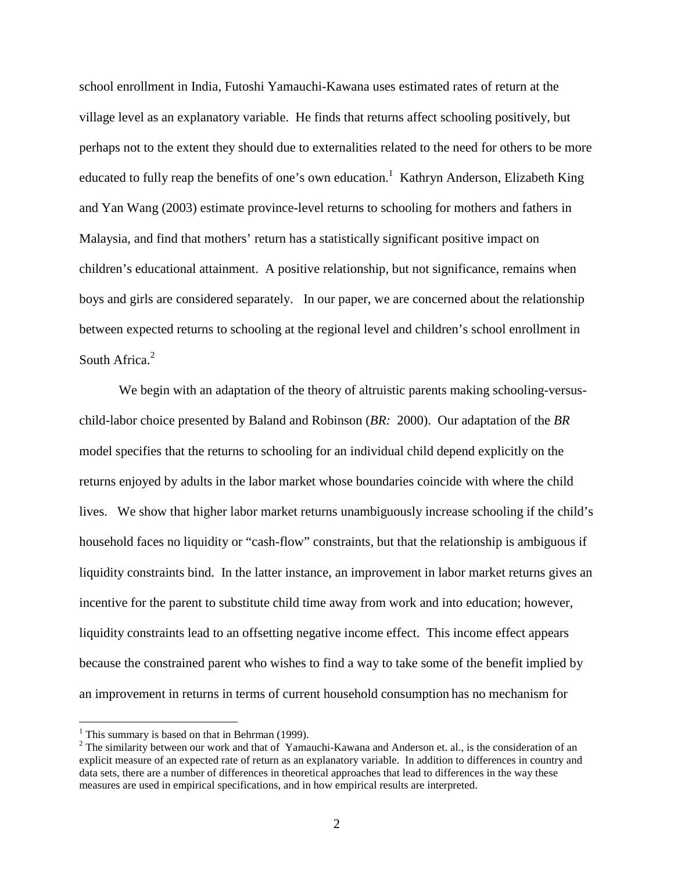school enrollment in India, Futoshi Yamauchi-Kawana uses estimated rates of return at the village level as an explanatory variable. He finds that returns affect schooling positively, but perhaps not to the extent they should due to externalities related to the need for others to be more educated to fully reap the benefits of one's own education.<sup>1</sup> Kathryn Anderson, Elizabeth King and Yan Wang (2003) estimate province-level returns to schooling for mothers and fathers in Malaysia, and find that mothers' return has a statistically significant positive impact on children's educational attainment. A positive relationship, but not significance, remains when boys and girls are considered separately. In our paper, we are concerned about the relationship between expected returns to schooling at the regional level and children's school enrollment in South Africa.<sup>2</sup>

We begin with an adaptation of the theory of altruistic parents making schooling-versuschild-labor choice presented by Baland and Robinson (*BR:* 2000). Our adaptation of the *BR* model specifies that the returns to schooling for an individual child depend explicitly on the returns enjoyed by adults in the labor market whose boundaries coincide with where the child lives. We show that higher labor market returns unambiguously increase schooling if the child's household faces no liquidity or "cash-flow" constraints, but that the relationship is ambiguous if liquidity constraints bind. In the latter instance, an improvement in labor market returns gives an incentive for the parent to substitute child time away from work and into education; however, liquidity constraints lead to an offsetting negative income effect. This income effect appears because the constrained parent who wishes to find a way to take some of the benefit implied by an improvement in returns in terms of current household consumption has no mechanism for

 $\overline{a}$ 

<sup>&</sup>lt;sup>1</sup> This summary is based on that in Behrman (1999).

<sup>&</sup>lt;sup>2</sup> The similarity between our work and that of Yamauchi-Kawana and Anderson et. al., is the consideration of an explicit measure of an expected rate of return as an explanatory variable. In addition to differences in country and data sets, there are a number of differences in theoretical approaches that lead to differences in the way these measures are used in empirical specifications, and in how empirical results are interpreted.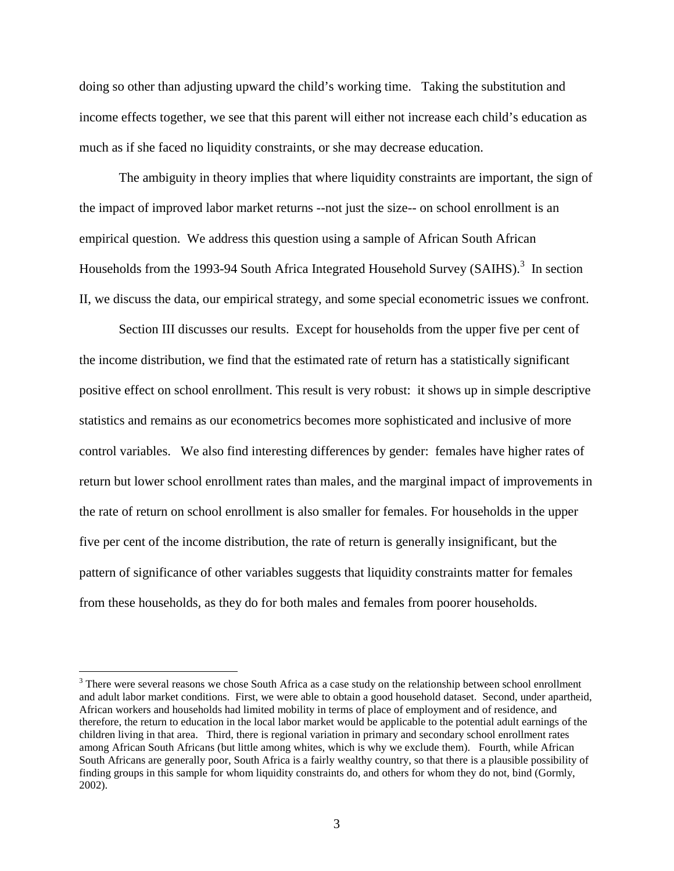doing so other than adjusting upward the child's working time. Taking the substitution and income effects together, we see that this parent will either not increase each child's education as much as if she faced no liquidity constraints, or she may decrease education.

The ambiguity in theory implies that where liquidity constraints are important, the sign of the impact of improved labor market returns --not just the size-- on school enrollment is an empirical question.We address this question using a sample of African South African Households from the 1993-94 South Africa Integrated Household Survey (SAIHS).<sup>3</sup> In section II, we discuss the data, our empirical strategy, and some special econometric issues we confront.

Section III discusses our results. Except for households from the upper five per cent of the income distribution, we find that the estimated rate of return has a statistically significant positive effect on school enrollment. This result is very robust: it shows up in simple descriptive statistics and remains as our econometrics becomes more sophisticated and inclusive of more control variables. We also find interesting differences by gender: females have higher rates of return but lower school enrollment rates than males, and the marginal impact of improvements in the rate of return on school enrollment is also smaller for females. For households in the upper five per cent of the income distribution, the rate of return is generally insignificant, but the pattern of significance of other variables suggests that liquidity constraints matter for females from these households, as they do for both males and females from poorer households.

 $\overline{a}$ 

 $3$  There were several reasons we chose South Africa as a case study on the relationship between school enrollment and adult labor market conditions. First, we were able to obtain a good household dataset. Second, under apartheid, African workers and households had limited mobility in terms of place of employment and of residence, and therefore, the return to education in the local labor market would be applicable to the potential adult earnings of the children living in that area. Third, there is regional variation in primary and secondary school enrollment rates among African South Africans (but little among whites, which is why we exclude them). Fourth, while African South Africans are generally poor, South Africa is a fairly wealthy country, so that there is a plausible possibility of finding groups in this sample for whom liquidity constraints do, and others for whom they do not, bind (Gormly, 2002).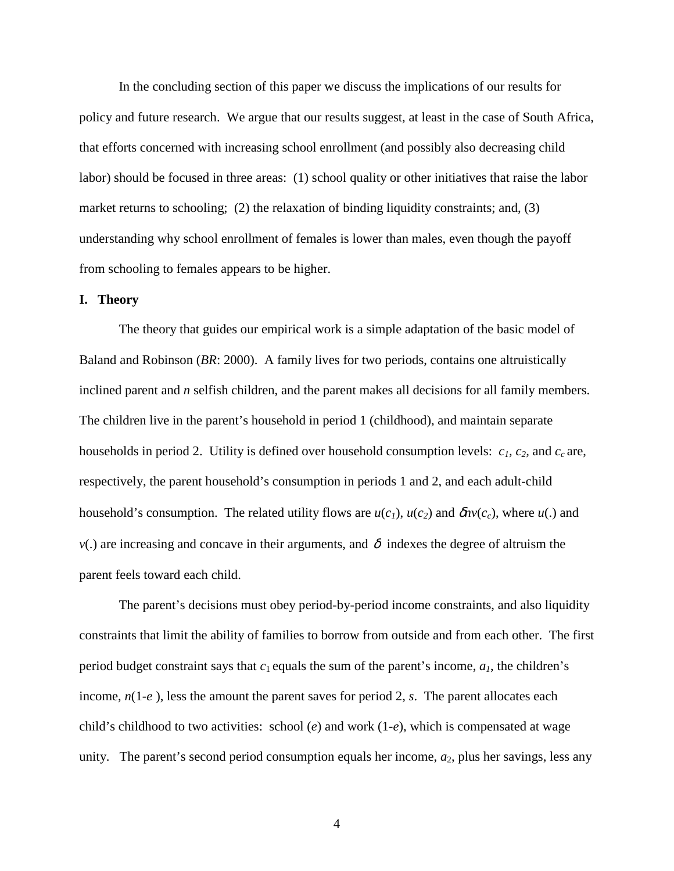In the concluding section of this paper we discuss the implications of our results for policy and future research. We argue that our results suggest, at least in the case of South Africa, that efforts concerned with increasing school enrollment (and possibly also decreasing child labor) should be focused in three areas: (1) school quality or other initiatives that raise the labor market returns to schooling; (2) the relaxation of binding liquidity constraints; and, (3) understanding why school enrollment of females is lower than males, even though the payoff from schooling to females appears to be higher.

## **I. Theory**

 The theory that guides our empirical work is a simple adaptation of the basic model of Baland and Robinson (*BR*: 2000). A family lives for two periods, contains one altruistically inclined parent and *n* selfish children, and the parent makes all decisions for all family members. The children live in the parent's household in period 1 (childhood), and maintain separate households in period 2. Utility is defined over household consumption levels:  $c_1$ ,  $c_2$ , and  $c_c$  are, respectively, the parent household's consumption in periods 1 and 2, and each adult-child household's consumption. The related utility flows are  $u(c_1)$ ,  $u(c_2)$  and  $\delta n v(c_c)$ , where  $u(.)$  and  $v(.)$  are increasing and concave in their arguments, and  $\delta$  indexes the degree of altruism the parent feels toward each child.

 The parent's decisions must obey period-by-period income constraints, and also liquidity constraints that limit the ability of families to borrow from outside and from each other. The first period budget constraint says that  $c_1$  equals the sum of the parent's income,  $a_1$ , the children's income, *n*(1-*e* ), less the amount the parent saves for period 2, *s*. The parent allocates each child's childhood to two activities: school (*e*) and work (1-*e*), which is compensated at wage unity. The parent's second period consumption equals her income,  $a_2$ , plus her savings, less any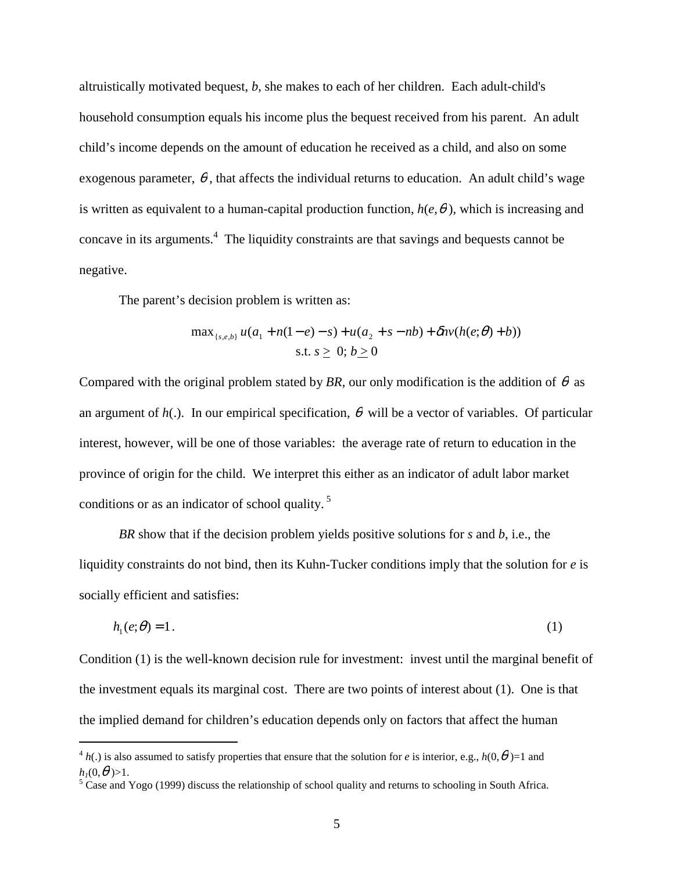altruistically motivated bequest, *b*, she makes to each of her children. Each adult-child's household consumption equals his income plus the bequest received from his parent. An adult child's income depends on the amount of education he received as a child, and also on some exogenous parameter,  $\theta$ , that affects the individual returns to education. An adult child's wage is written as equivalent to a human-capital production function,  $h(e, \theta)$ , which is increasing and concave in its arguments.<sup>4</sup> The liquidity constraints are that savings and bequests cannot be negative.

The parent's decision problem is written as:

$$
\max_{\{s,e,b\}} u(a_1 + n(1-e) - s) + u(a_2 + s - nb) + \delta n v(h(e;\theta) + b))
$$
  
s.t.  $s \ge 0; b \ge 0$ 

Compared with the original problem stated by *BR*, our only modification is the addition of  $\theta$  as an argument of  $h(.)$ . In our empirical specification,  $\theta$  will be a vector of variables. Of particular interest, however, will be one of those variables: the average rate of return to education in the province of origin for the child. We interpret this either as an indicator of adult labor market conditions or as an indicator of school quality.<sup>5</sup>

*BR* show that if the decision problem yields positive solutions for *s* and *b*, i.e., the liquidity constraints do not bind, then its Kuhn-Tucker conditions imply that the solution for *e* is socially efficient and satisfies:

$$
h_1(e; \theta) = 1. \tag{1}
$$

Condition (1) is the well-known decision rule for investment: invest until the marginal benefit of the investment equals its marginal cost. There are two points of interest about (1). One is that the implied demand for children's education depends only on factors that affect the human

 $\overline{a}$ 

 ${}^4h(.)$  is also assumed to satisfy properties that ensure that the solution for *e* is interior, e.g.,  $h(0,\theta)=1$  and  $h_1(0,\theta) > 1$ .

 $<sup>5</sup>$  Case and Yogo (1999) discuss the relationship of school quality and returns to schooling in South Africa.</sup>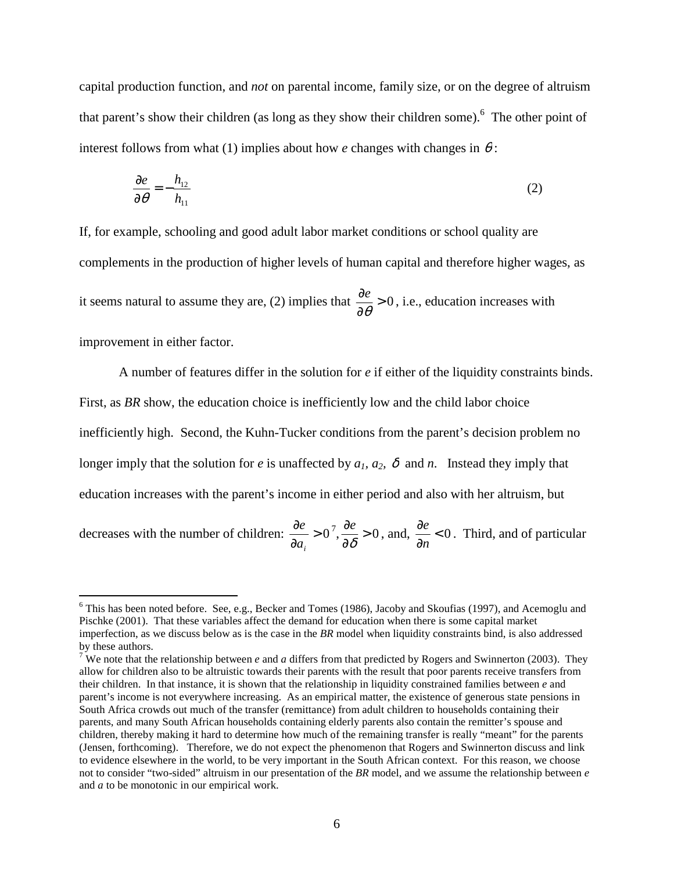capital production function, and *not* on parental income, family size, or on the degree of altruism that parent's show their children (as long as they show their children some).<sup>6</sup> The other point of interest follows from what (1) implies about how *e* changes with changes in  $\theta$ :

$$
\frac{\partial e}{\partial \theta} = -\frac{h_{12}}{h_{11}}\tag{2}
$$

If, for example, schooling and good adult labor market conditions or school quality are complements in the production of higher levels of human capital and therefore higher wages, as it seems natural to assume they are, (2) implies that  $\frac{\partial c}{\partial \theta} > 0$ ∂ ∂  $\frac{e}{\theta} > 0$ , i.e., education increases with improvement in either factor.

 A number of features differ in the solution for *e* if either of the liquidity constraints binds. First, as *BR* show, the education choice is inefficiently low and the child labor choice inefficiently high. Second, the Kuhn-Tucker conditions from the parent's decision problem no longer imply that the solution for *e* is unaffected by  $a_1$ ,  $a_2$ ,  $\delta$  and *n*. Instead they imply that education increases with the parent's income in either period and also with her altruism, but

decreases with the number of children:  $\frac{\partial c}{\partial r} > 0$ ∂ ∂ *i a*  $e^e > 0^7$ ,  $\frac{\partial e}{\partial s} > 0$ ∂ ∂  $\frac{\partial e}{\partial \delta} > 0$ , and,  $\frac{\partial e}{\partial n} < 0$ ∂ ∂ *n*  $\frac{e}{c}$  < 0. Third, and of particular

<sup>&</sup>lt;sup>6</sup> This has been noted before. See, e.g., Becker and Tomes (1986), Jacoby and Skoufias (1997), and Acemoglu and **F** Pischke (2001). That these variables affect the demand for education when there is some capital market imperfection, as we discuss below as is the case in the *BR* model when liquidity constraints bind, is also addressed by these authors.

<sup>&</sup>lt;sup>7</sup> We note that the relationship between *e* and *a* differs from that predicted by Rogers and Swinnerton (2003). They allow for children also to be altruistic towards their parents with the result that poor parents receive transfers from their children. In that instance, it is shown that the relationship in liquidity constrained families between *e* and parent's income is not everywhere increasing. As an empirical matter, the existence of generous state pensions in South Africa crowds out much of the transfer (remittance) from adult children to households containing their parents, and many South African households containing elderly parents also contain the remitter's spouse and children, thereby making it hard to determine how much of the remaining transfer is really "meant" for the parents (Jensen, forthcoming). Therefore, we do not expect the phenomenon that Rogers and Swinnerton discuss and link to evidence elsewhere in the world, to be very important in the South African context. For this reason, we choose not to consider "two-sided" altruism in our presentation of the *BR* model, and we assume the relationship between *e*  and *a* to be monotonic in our empirical work.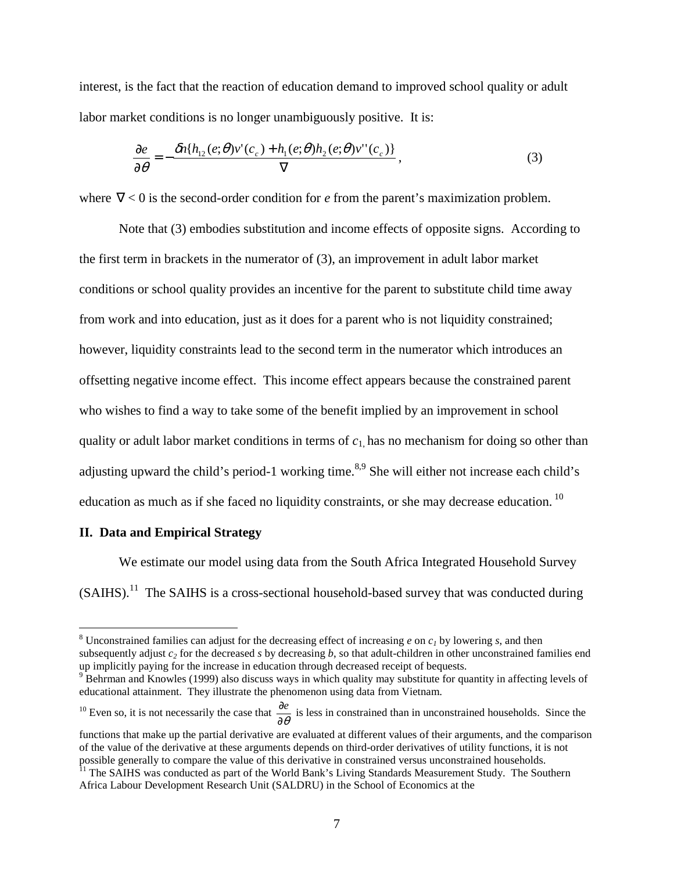interest, is the fact that the reaction of education demand to improved school quality or adult labor market conditions is no longer unambiguously positive. It is:

$$
\frac{\partial e}{\partial \theta} = -\frac{\delta n \{h_{12}(e;\theta)v'(c_c) + h_1(e;\theta)h_2(e;\theta)v''(c_c)\}}{\nabla},\tag{3}
$$

where  $∇ < 0$  is the second-order condition for *e* from the parent's maximization problem.

 Note that (3) embodies substitution and income effects of opposite signs. According to the first term in brackets in the numerator of (3), an improvement in adult labor market conditions or school quality provides an incentive for the parent to substitute child time away from work and into education, just as it does for a parent who is not liquidity constrained; however, liquidity constraints lead to the second term in the numerator which introduces an offsetting negative income effect. This income effect appears because the constrained parent who wishes to find a way to take some of the benefit implied by an improvement in school quality or adult labor market conditions in terms of *c*1, has no mechanism for doing so other than adjusting upward the child's period-1 working time.<sup>8,9</sup> She will either not increase each child's education as much as if she faced no liquidity constraints, or she may decrease education.<sup>10</sup>

## **II. Data and Empirical Strategy**

 $\overline{a}$ 

 We estimate our model using data from the South Africa Integrated Household Survey (SAIHS).11 The SAIHS is a cross-sectional household-based survey that was conducted during

<sup>10</sup> Even so, it is not necessarily the case that  $\frac{\partial e}{\partial \theta}$  is less in constrained than in unconstrained households. Since the

<sup>&</sup>lt;sup>8</sup> Unconstrained families can adjust for the decreasing effect of increasing  $e$  on  $c<sub>1</sub>$  by lowering  $s$ , and then subsequently adjust  $c_2$  for the decreased *s* by decreasing *b*, so that adult-children in other unconstrained families end up implicitly paying for the increase in education through decreased receipt of bequests. <sup>9</sup>

<sup>&</sup>lt;sup>9</sup> Behrman and Knowles (1999) also discuss ways in which quality may substitute for quantity in affecting levels of educational attainment. They illustrate the phenomenon using data from Vietnam.

functions that make up the partial derivative are evaluated at different values of their arguments, and the comparison of the value of the derivative at these arguments depends on third-order derivatives of utility functions, it is not possible generally to compare the value of this derivative in constrained versus unconstrained households.

<sup>&</sup>lt;sup>11</sup> The SAIHS was conducted as part of the World Bank's Living Standards Measurement Study. The Southern Africa Labour Development Research Unit (SALDRU) in the School of Economics at the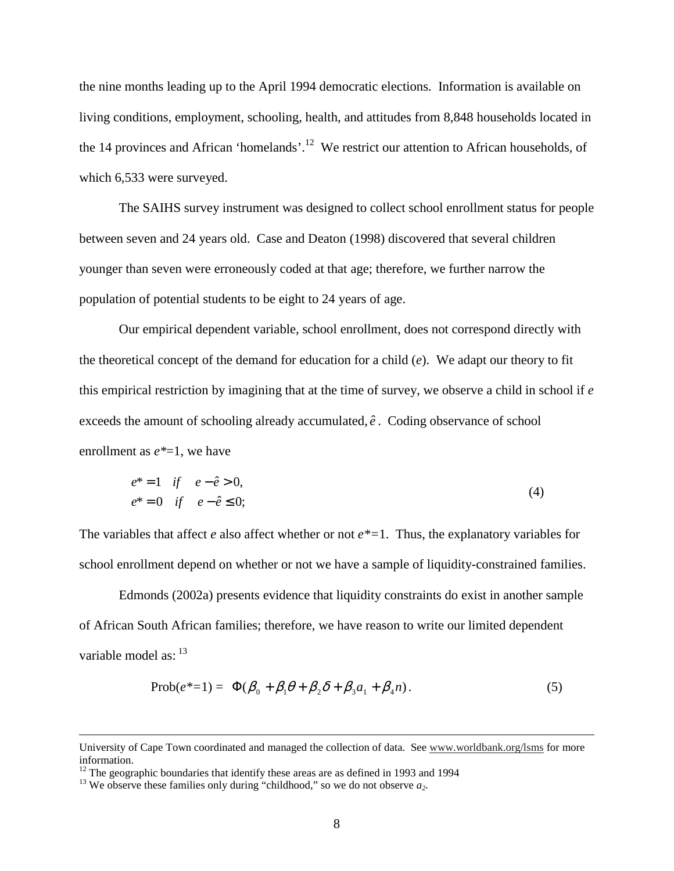the nine months leading up to the April 1994 democratic elections. Information is available on living conditions, employment, schooling, health, and attitudes from 8,848 households located in the 14 provinces and African 'homelands'.<sup>12</sup> We restrict our attention to African households, of which 6,533 were surveyed.

 The SAIHS survey instrument was designed to collect school enrollment status for people between seven and 24 years old. Case and Deaton (1998) discovered that several children younger than seven were erroneously coded at that age; therefore, we further narrow the population of potential students to be eight to 24 years of age.

 Our empirical dependent variable, school enrollment, does not correspond directly with the theoretical concept of the demand for education for a child (*e*). We adapt our theory to fit this empirical restriction by imagining that at the time of survey, we observe a child in school if *e*  exceeds the amount of schooling already accumulated,  $\hat{e}$ . Coding observance of school enrollment as *e\**=1, we have

$$
e^* = 1 \tif \t e - \hat{e} > 0,e^* = 0 \tif \t e - \hat{e} \le 0;
$$
\t(4)

The variables that affect *e* also affect whether or not *e\*=*1. Thus, the explanatory variables for school enrollment depend on whether or not we have a sample of liquidity-constrained families.

 Edmonds (2002a) presents evidence that liquidity constraints do exist in another sample of African South African families; therefore, we have reason to write our limited dependent variable model as:  $^{13}$ 

$$
\text{Prob}(e^*=1) = \Phi(\beta_0 + \beta_1 \theta + \beta_2 \delta + \beta_3 a_1 + \beta_4 n). \tag{5}
$$

University of Cape Town coordinated and managed the collection of data. See www.worldbank.org/lsms for more information.

 $12$  The geographic boundaries that identify these areas are as defined in 1993 and 1994

<sup>&</sup>lt;sup>13</sup> We observe these families only during "childhood," so we do not observe  $a_2$ .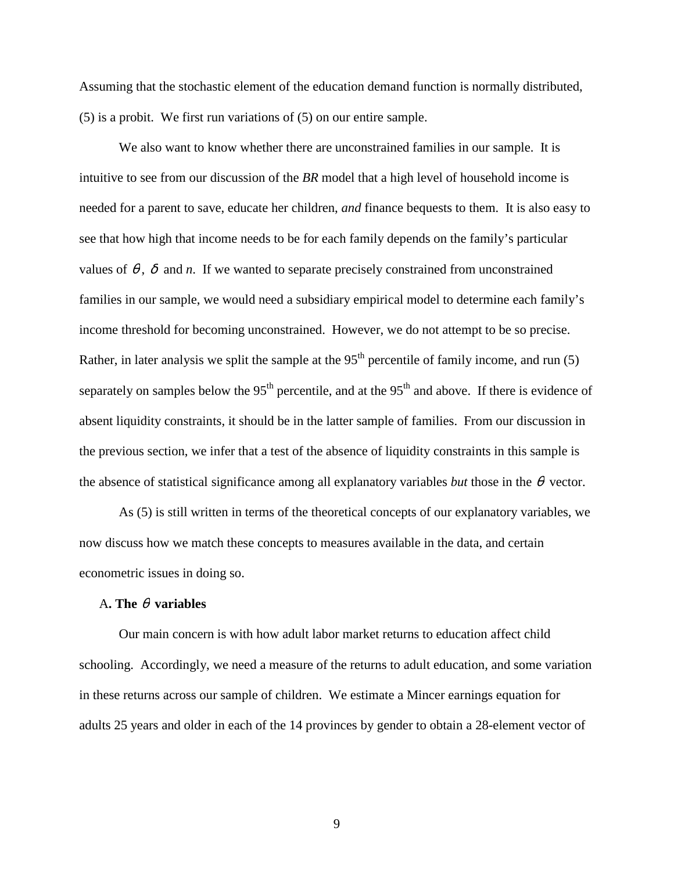Assuming that the stochastic element of the education demand function is normally distributed, (5) is a probit. We first run variations of (5) on our entire sample.

We also want to know whether there are unconstrained families in our sample. It is intuitive to see from our discussion of the *BR* model that a high level of household income is needed for a parent to save, educate her children, *and* finance bequests to them. It is also easy to see that how high that income needs to be for each family depends on the family's particular values of  $\theta$ ,  $\delta$  and *n*. If we wanted to separate precisely constrained from unconstrained families in our sample, we would need a subsidiary empirical model to determine each family's income threshold for becoming unconstrained. However, we do not attempt to be so precise. Rather, in later analysis we split the sample at the  $95<sup>th</sup>$  percentile of family income, and run (5) separately on samples below the  $95<sup>th</sup>$  percentile, and at the  $95<sup>th</sup>$  and above. If there is evidence of absent liquidity constraints, it should be in the latter sample of families. From our discussion in the previous section, we infer that a test of the absence of liquidity constraints in this sample is the absence of statistical significance among all explanatory variables *but* those in the  $\theta$  vector.

 As (5) is still written in terms of the theoretical concepts of our explanatory variables, we now discuss how we match these concepts to measures available in the data, and certain econometric issues in doing so.

### A**. The** θ **variables**

 Our main concern is with how adult labor market returns to education affect child schooling. Accordingly, we need a measure of the returns to adult education, and some variation in these returns across our sample of children. We estimate a Mincer earnings equation for adults 25 years and older in each of the 14 provinces by gender to obtain a 28-element vector of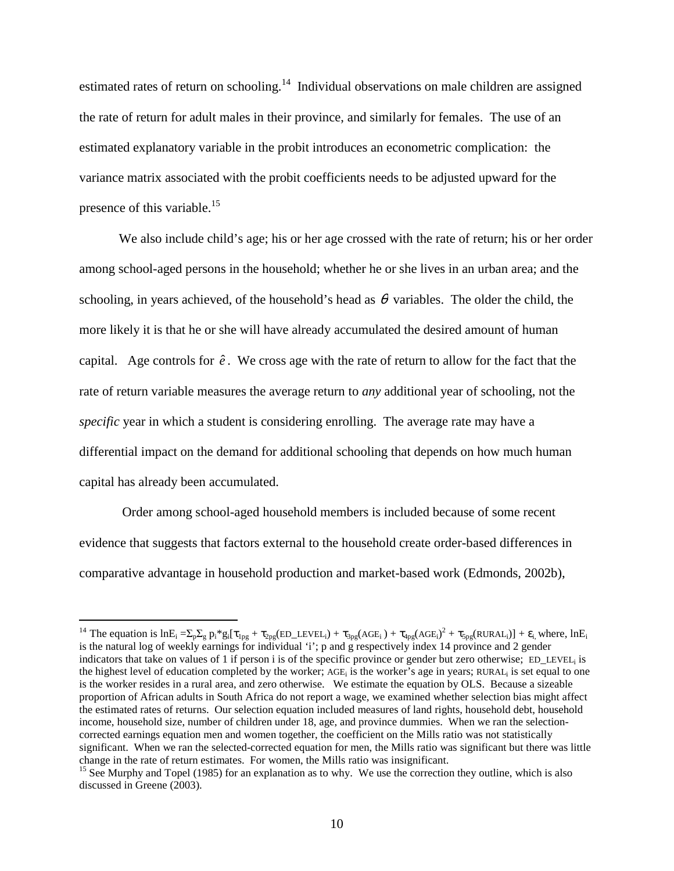estimated rates of return on schooling.<sup>14</sup> Individual observations on male children are assigned the rate of return for adult males in their province, and similarly for females. The use of an estimated explanatory variable in the probit introduces an econometric complication: the variance matrix associated with the probit coefficients needs to be adjusted upward for the presence of this variable.<sup>15</sup>

We also include child's age; his or her age crossed with the rate of return; his or her order among school-aged persons in the household; whether he or she lives in an urban area; and the schooling, in years achieved, of the household's head as  $\theta$  variables. The older the child, the more likely it is that he or she will have already accumulated the desired amount of human capital. Age controls for  $\hat{e}$ . We cross age with the rate of return to allow for the fact that the rate of return variable measures the average return to *any* additional year of schooling, not the *specific* year in which a student is considering enrolling. The average rate may have a differential impact on the demand for additional schooling that depends on how much human capital has already been accumulated.

 Order among school-aged household members is included because of some recent evidence that suggests that factors external to the household create order-based differences in comparative advantage in household production and market-based work (Edmonds, 2002b),

 $\overline{a}$ 

<sup>&</sup>lt;sup>14</sup> The equation is  $lnE_i = \sum_p \sum_g p_i^* g_i [\tau_{1pg} + \tau_{2pg} (ED\_LEVEL_i) + \tau_{3pg} (AGE_i) + \tau_{4pg} (AGE_i)^2 + \tau_{5pg} (RURAL_i)] + \epsilon_i$ , where,  $lnE_i$ is the natural log of weekly earnings for individual 'i'; p and g respectively index 14 province and 2 gender indicators that take on values of 1 if person i is of the specific province or gender but zero otherwise; ED\_LEVEL<sub>i</sub> is the highest level of education completed by the worker;  $AGE_i$  is the worker's age in years; RURAL<sub>i</sub> is set equal to one is the worker resides in a rural area, and zero otherwise. We estimate the equation by OLS. Because a sizeable proportion of African adults in South Africa do not report a wage, we examined whether selection bias might affect the estimated rates of returns. Our selection equation included measures of land rights, household debt, household income, household size, number of children under 18, age, and province dummies. When we ran the selectioncorrected earnings equation men and women together, the coefficient on the Mills ratio was not statistically significant. When we ran the selected-corrected equation for men, the Mills ratio was significant but there was little change in the rate of return estimates. For women, the Mills ratio was insignificant.

<sup>&</sup>lt;sup>15</sup> See Murphy and Topel (1985) for an explanation as to why. We use the correction they outline, which is also discussed in Greene (2003).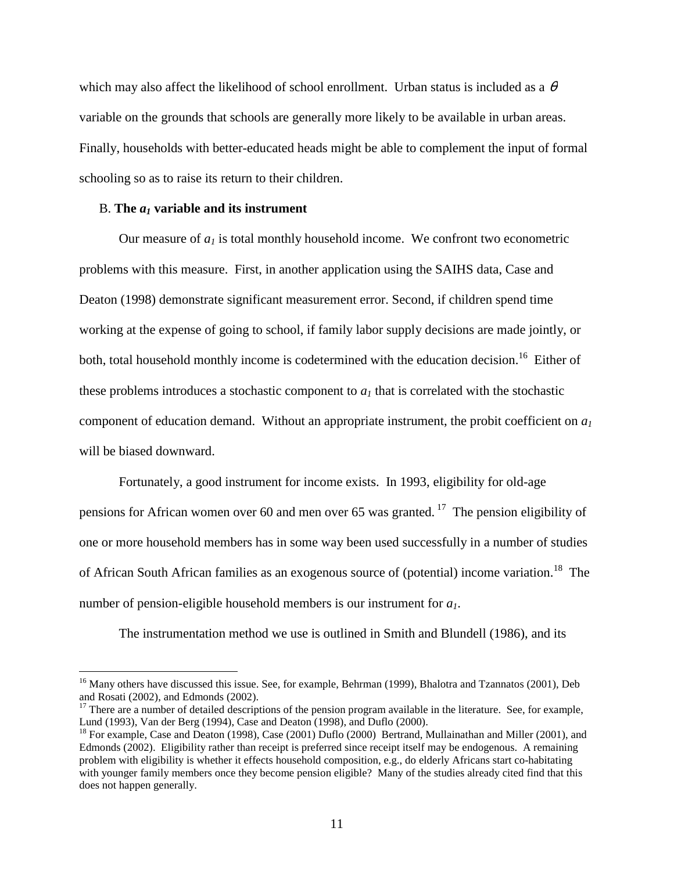which may also affect the likelihood of school enrollment. Urban status is included as a  $\theta$ variable on the grounds that schools are generally more likely to be available in urban areas. Finally, households with better-educated heads might be able to complement the input of formal schooling so as to raise its return to their children.

#### B. The  $a_1$  variable and its instrument

 $\overline{a}$ 

Our measure of  $a_1$  is total monthly household income. We confront two econometric problems with this measure. First, in another application using the SAIHS data, Case and Deaton (1998) demonstrate significant measurement error. Second, if children spend time working at the expense of going to school, if family labor supply decisions are made jointly, or both, total household monthly income is codetermined with the education decision.<sup>16</sup> Either of these problems introduces a stochastic component to  $a<sub>l</sub>$  that is correlated with the stochastic component of education demand. Without an appropriate instrument, the probit coefficient on *a1* will be biased downward.

 Fortunately, a good instrument for income exists. In 1993, eligibility for old-age pensions for African women over 60 and men over 65 was granted.<sup>17</sup> The pension eligibility of one or more household members has in some way been used successfully in a number of studies of African South African families as an exogenous source of (potential) income variation.<sup>18</sup> The number of pension-eligible household members is our instrument for *a1*.

The instrumentation method we use is outlined in Smith and Blundell (1986), and its

<sup>&</sup>lt;sup>16</sup> Many others have discussed this issue. See, for example, Behrman (1999), Bhalotra and Tzannatos (2001), Deb and Rosati (2002), and Edmonds (2002).

 $17$  There are a number of detailed descriptions of the pension program available in the literature. See, for example, Lund (1993), Van der Berg (1994), Case and Deaton (1998), and Duflo (2000).

<sup>&</sup>lt;sup>18</sup> For example, Case and Deaton (1998), Case (2001) Duflo (2000) Bertrand, Mullainathan and Miller (2001), and Edmonds (2002). Eligibility rather than receipt is preferred since receipt itself may be endogenous. A remaining problem with eligibility is whether it effects household composition, e.g., do elderly Africans start co-habitating with younger family members once they become pension eligible? Many of the studies already cited find that this does not happen generally.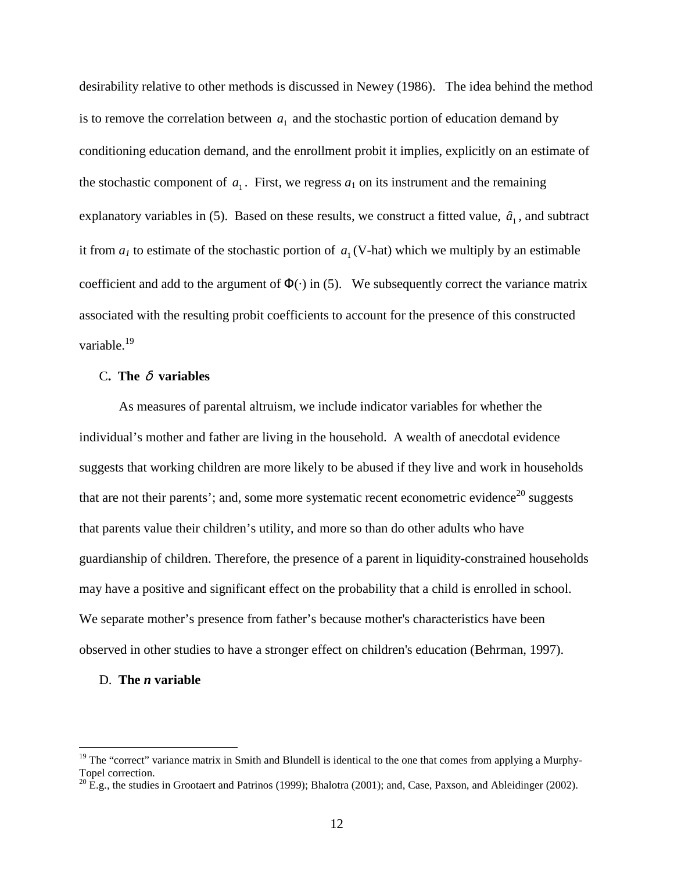desirability relative to other methods is discussed in Newey (1986). The idea behind the method is to remove the correlation between  $a_1$  and the stochastic portion of education demand by conditioning education demand, and the enrollment probit it implies, explicitly on an estimate of the stochastic component of  $a_1$ . First, we regress  $a_1$  on its instrument and the remaining explanatory variables in (5). Based on these results, we construct a fitted value,  $\hat{a}_1$ , and subtract it from  $a_1$  to estimate of the stochastic portion of  $a_1$  (V-hat) which we multiply by an estimable coefficient and add to the argument of  $\Phi(\cdot)$  in (5). We subsequently correct the variance matrix associated with the resulting probit coefficients to account for the presence of this constructed variable.<sup>19</sup>

# C**. The** δ **variables**

 As measures of parental altruism, we include indicator variables for whether the individual's mother and father are living in the household. A wealth of anecdotal evidence suggests that working children are more likely to be abused if they live and work in households that are not their parents'; and, some more systematic recent econometric evidence<sup>20</sup> suggests that parents value their children's utility, and more so than do other adults who have guardianship of children. Therefore, the presence of a parent in liquidity-constrained households may have a positive and significant effect on the probability that a child is enrolled in school. We separate mother's presence from father's because mother's characteristics have been observed in other studies to have a stronger effect on children's education (Behrman, 1997).

#### D. **The** *n* **variable**

 $\overline{a}$ 

 $19$  The "correct" variance matrix in Smith and Blundell is identical to the one that comes from applying a Murphy-Topel correction.

 $^{20}$  E.g., the studies in Grootaert and Patrinos (1999); Bhalotra (2001); and, Case, Paxson, and Ableidinger (2002).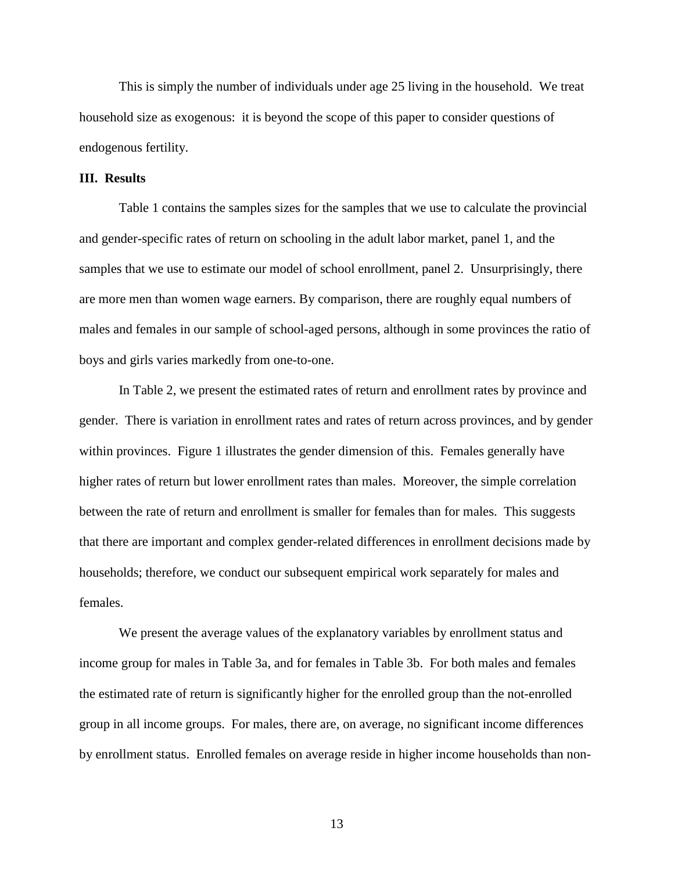This is simply the number of individuals under age 25 living in the household. We treat household size as exogenous: it is beyond the scope of this paper to consider questions of endogenous fertility.

### **III. Results**

Table 1 contains the samples sizes for the samples that we use to calculate the provincial and gender-specific rates of return on schooling in the adult labor market, panel 1, and the samples that we use to estimate our model of school enrollment, panel 2. Unsurprisingly, there are more men than women wage earners. By comparison, there are roughly equal numbers of males and females in our sample of school-aged persons, although in some provinces the ratio of boys and girls varies markedly from one-to-one.

In Table 2, we present the estimated rates of return and enrollment rates by province and gender. There is variation in enrollment rates and rates of return across provinces, and by gender within provinces. Figure 1 illustrates the gender dimension of this. Females generally have higher rates of return but lower enrollment rates than males. Moreover, the simple correlation between the rate of return and enrollment is smaller for females than for males. This suggests that there are important and complex gender-related differences in enrollment decisions made by households; therefore, we conduct our subsequent empirical work separately for males and females.

We present the average values of the explanatory variables by enrollment status and income group for males in Table 3a, and for females in Table 3b. For both males and females the estimated rate of return is significantly higher for the enrolled group than the not-enrolled group in all income groups. For males, there are, on average, no significant income differences by enrollment status. Enrolled females on average reside in higher income households than non-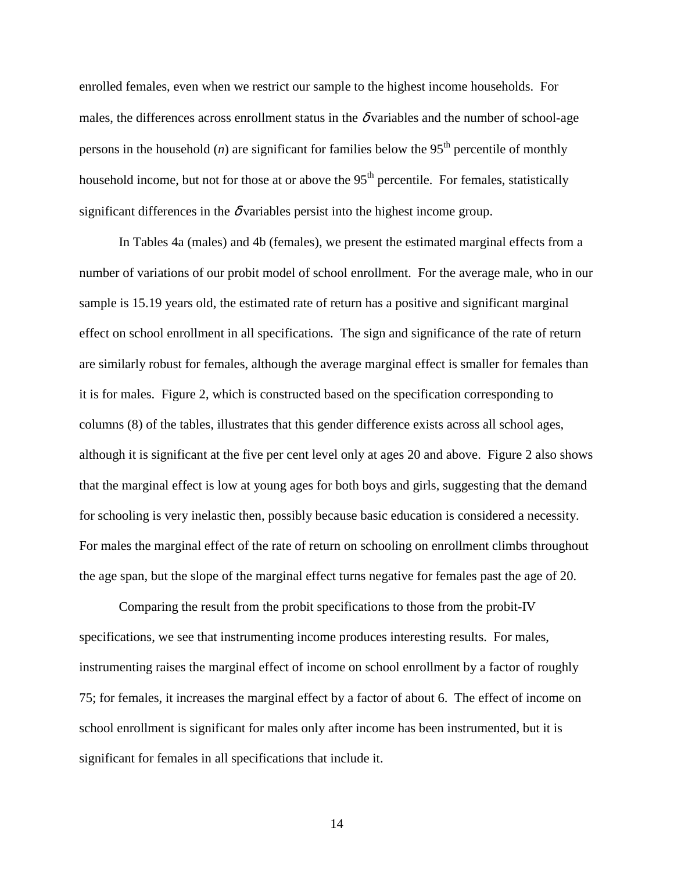enrolled females, even when we restrict our sample to the highest income households. For males, the differences across enrollment status in the  $\delta$  variables and the number of school-age persons in the household  $(n)$  are significant for families below the 95<sup>th</sup> percentile of monthly household income, but not for those at or above the 95<sup>th</sup> percentile. For females, statistically significant differences in the  $\delta$  variables persist into the highest income group.

In Tables 4a (males) and 4b (females), we present the estimated marginal effects from a number of variations of our probit model of school enrollment. For the average male, who in our sample is 15.19 years old, the estimated rate of return has a positive and significant marginal effect on school enrollment in all specifications. The sign and significance of the rate of return are similarly robust for females, although the average marginal effect is smaller for females than it is for males. Figure 2, which is constructed based on the specification corresponding to columns (8) of the tables, illustrates that this gender difference exists across all school ages, although it is significant at the five per cent level only at ages 20 and above. Figure 2 also shows that the marginal effect is low at young ages for both boys and girls, suggesting that the demand for schooling is very inelastic then, possibly because basic education is considered a necessity. For males the marginal effect of the rate of return on schooling on enrollment climbs throughout the age span, but the slope of the marginal effect turns negative for females past the age of 20.

Comparing the result from the probit specifications to those from the probit-IV specifications, we see that instrumenting income produces interesting results. For males, instrumenting raises the marginal effect of income on school enrollment by a factor of roughly 75; for females, it increases the marginal effect by a factor of about 6. The effect of income on school enrollment is significant for males only after income has been instrumented, but it is significant for females in all specifications that include it.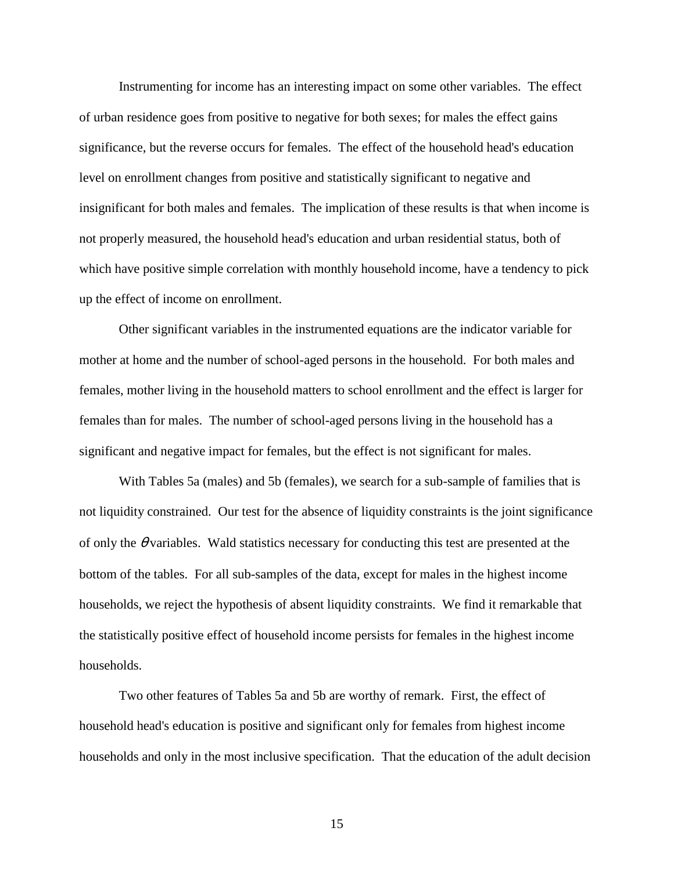Instrumenting for income has an interesting impact on some other variables. The effect of urban residence goes from positive to negative for both sexes; for males the effect gains significance, but the reverse occurs for females. The effect of the household head's education level on enrollment changes from positive and statistically significant to negative and insignificant for both males and females. The implication of these results is that when income is not properly measured, the household head's education and urban residential status, both of which have positive simple correlation with monthly household income, have a tendency to pick up the effect of income on enrollment.

Other significant variables in the instrumented equations are the indicator variable for mother at home and the number of school-aged persons in the household. For both males and females, mother living in the household matters to school enrollment and the effect is larger for females than for males. The number of school-aged persons living in the household has a significant and negative impact for females, but the effect is not significant for males.

With Tables 5a (males) and 5b (females), we search for a sub-sample of families that is not liquidity constrained. Our test for the absence of liquidity constraints is the joint significance of only the  $\theta$  variables. Wald statistics necessary for conducting this test are presented at the bottom of the tables. For all sub-samples of the data, except for males in the highest income households, we reject the hypothesis of absent liquidity constraints. We find it remarkable that the statistically positive effect of household income persists for females in the highest income households.

Two other features of Tables 5a and 5b are worthy of remark. First, the effect of household head's education is positive and significant only for females from highest income households and only in the most inclusive specification. That the education of the adult decision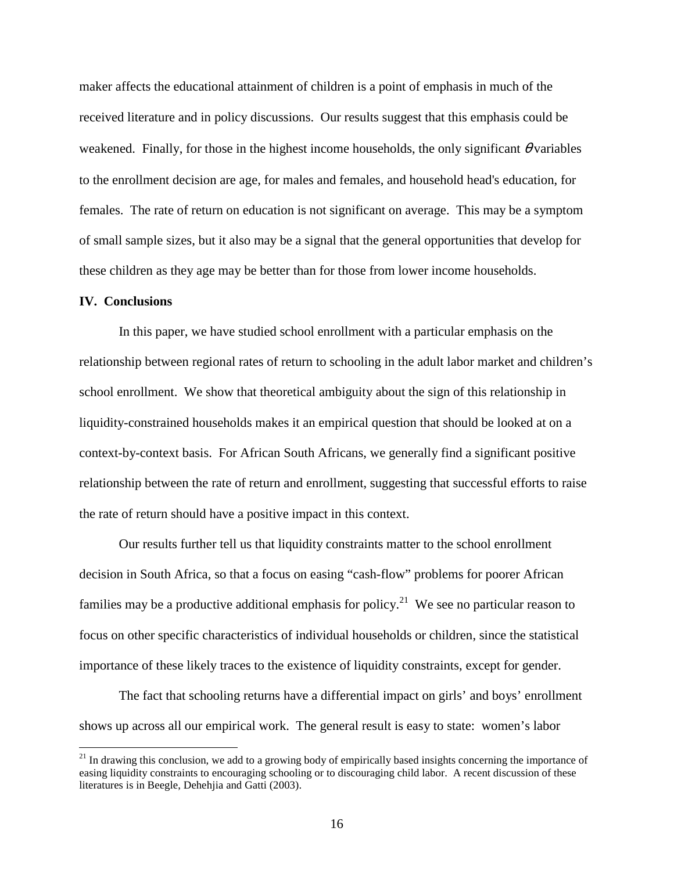maker affects the educational attainment of children is a point of emphasis in much of the received literature and in policy discussions. Our results suggest that this emphasis could be weakened. Finally, for those in the highest income households, the only significant  $\theta$  variables to the enrollment decision are age, for males and females, and household head's education, for females. The rate of return on education is not significant on average. This may be a symptom of small sample sizes, but it also may be a signal that the general opportunities that develop for these children as they age may be better than for those from lower income households.

### **IV. Conclusions**

 $\overline{a}$ 

 In this paper, we have studied school enrollment with a particular emphasis on the relationship between regional rates of return to schooling in the adult labor market and children's school enrollment. We show that theoretical ambiguity about the sign of this relationship in liquidity-constrained households makes it an empirical question that should be looked at on a context-by-context basis. For African South Africans, we generally find a significant positive relationship between the rate of return and enrollment, suggesting that successful efforts to raise the rate of return should have a positive impact in this context.

 Our results further tell us that liquidity constraints matter to the school enrollment decision in South Africa, so that a focus on easing "cash-flow" problems for poorer African families may be a productive additional emphasis for policy.<sup>21</sup> We see no particular reason to focus on other specific characteristics of individual households or children, since the statistical importance of these likely traces to the existence of liquidity constraints, except for gender.

 The fact that schooling returns have a differential impact on girls' and boys' enrollment shows up across all our empirical work. The general result is easy to state: women's labor

 $21$  In drawing this conclusion, we add to a growing body of empirically based insights concerning the importance of easing liquidity constraints to encouraging schooling or to discouraging child labor. A recent discussion of these literatures is in Beegle, Dehehjia and Gatti (2003).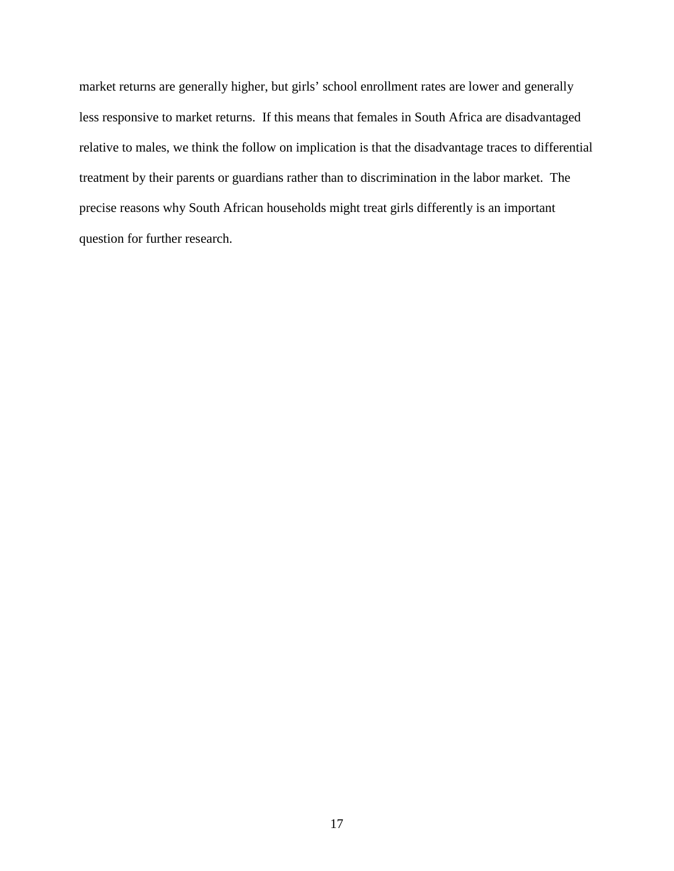market returns are generally higher, but girls' school enrollment rates are lower and generally less responsive to market returns. If this means that females in South Africa are disadvantaged relative to males, we think the follow on implication is that the disadvantage traces to differential treatment by their parents or guardians rather than to discrimination in the labor market. The precise reasons why South African households might treat girls differently is an important question for further research.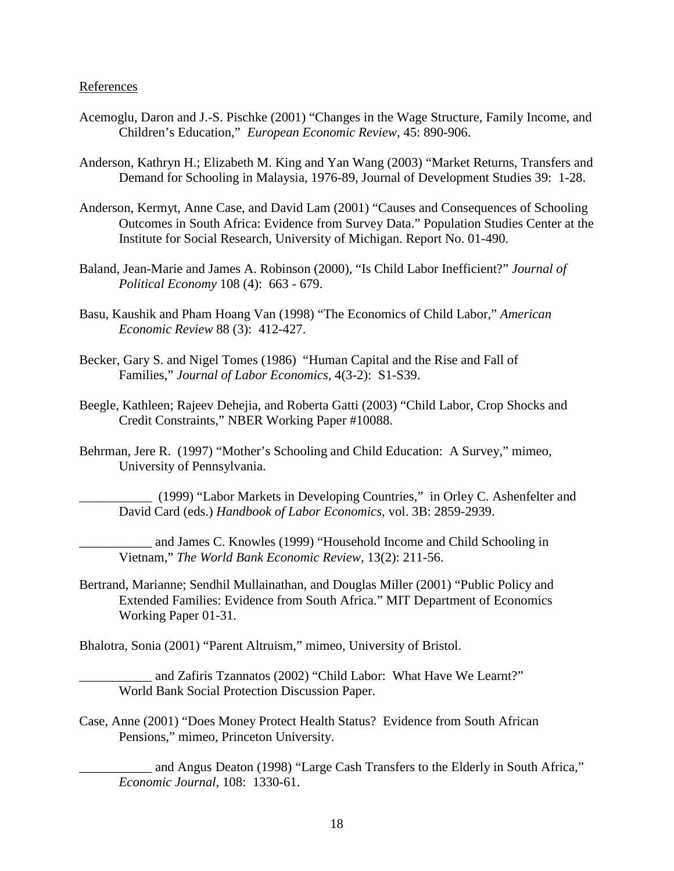### References

- Acemoglu, Daron and J.-S. Pischke (2001) "Changes in the Wage Structure, Family Income, and Children's Education," *European Economic Review,* 45: 890-906.
- Anderson, Kathryn H.; Elizabeth M. King and Yan Wang (2003) "Market Returns, Transfers and Demand for Schooling in Malaysia, 1976-89, Journal of Development Studies 39: 1-28.
- Anderson, Kermyt, Anne Case, and David Lam (2001) "Causes and Consequences of Schooling Outcomes in South Africa: Evidence from Survey Data." Population Studies Center at the Institute for Social Research, University of Michigan. Report No. 01-490.
- Baland, Jean-Marie and James A. Robinson (2000), "Is Child Labor Inefficient?" *Journal of Political Economy* 108 (4): 663 - 679.
- Basu, Kaushik and Pham Hoang Van (1998) "The Economics of Child Labor," *American Economic Review* 88 (3): 412-427.
- Becker, Gary S. and Nigel Tomes (1986) "Human Capital and the Rise and Fall of Families," *Journal of Labor Economics,* 4(3-2): S1-S39.
- Beegle, Kathleen; Rajeev Dehejia, and Roberta Gatti (2003) "Child Labor, Crop Shocks and Credit Constraints," NBER Working Paper #10088.
- Behrman, Jere R. (1997) "Mother's Schooling and Child Education: A Survey," mimeo, University of Pennsylvania.

\_\_\_\_\_\_\_\_\_\_\_ (1999) "Labor Markets in Developing Countries," in Orley C. Ashenfelter and David Card (eds.) *Handbook of Labor Economics*, vol. 3B: 2859-2939.

and James C. Knowles (1999) "Household Income and Child Schooling in Vietnam," *The World Bank Economic Review,* 13(2): 211-56.

Bertrand, Marianne; Sendhil Mullainathan, and Douglas Miller (2001) "Public Policy and Extended Families: Evidence from South Africa." MIT Department of Economics Working Paper 01-31.

Bhalotra, Sonia (2001) "Parent Altruism," mimeo, University of Bristol.

and Zafiris Tzannatos (2002) "Child Labor: What Have We Learnt?" World Bank Social Protection Discussion Paper.

Case, Anne (2001) "Does Money Protect Health Status? Evidence from South African Pensions," mimeo, Princeton University.

\_\_\_\_\_\_\_\_\_\_\_ and Angus Deaton (1998) "Large Cash Transfers to the Elderly in South Africa," *Economic Journal,* 108: 1330-61.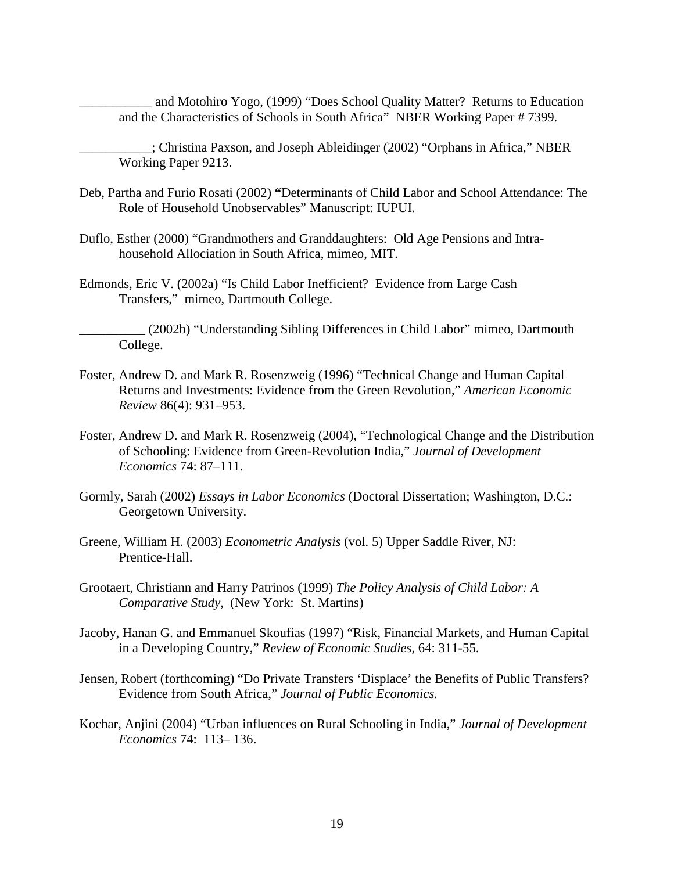and Motohiro Yogo, (1999) "Does School Quality Matter? Returns to Education and the Characteristics of Schools in South Africa" NBER Working Paper # 7399.

\_\_\_\_\_\_\_\_\_\_\_; Christina Paxson, and Joseph Ableidinger (2002) "Orphans in Africa," NBER Working Paper 9213.

- Deb, Partha and Furio Rosati (2002) **"**Determinants of Child Labor and School Attendance: The Role of Household Unobservables" Manuscript: IUPUI.
- Duflo, Esther (2000) "Grandmothers and Granddaughters: Old Age Pensions and Intrahousehold Allociation in South Africa, mimeo, MIT.
- Edmonds, Eric V. (2002a) "Is Child Labor Inefficient? Evidence from Large Cash Transfers," mimeo, Dartmouth College.

\_\_\_\_\_\_\_\_\_\_ (2002b) "Understanding Sibling Differences in Child Labor" mimeo, Dartmouth College.

- Foster, Andrew D. and Mark R. Rosenzweig (1996) "Technical Change and Human Capital Returns and Investments: Evidence from the Green Revolution," *American Economic Review* 86(4): 931–953.
- Foster, Andrew D. and Mark R. Rosenzweig (2004), "Technological Change and the Distribution of Schooling: Evidence from Green-Revolution India," *Journal of Development Economics* 74: 87–111.
- Gormly, Sarah (2002) *Essays in Labor Economics* (Doctoral Dissertation; Washington, D.C.: Georgetown University.
- Greene, William H. (2003) *Econometric Analysis* (vol. 5) Upper Saddle River, NJ: Prentice-Hall.
- Grootaert, Christiann and Harry Patrinos (1999) *The Policy Analysis of Child Labor: A Comparative Study*, (New York: St. Martins)
- Jacoby, Hanan G. and Emmanuel Skoufias (1997) "Risk, Financial Markets, and Human Capital in a Developing Country," *Review of Economic Studies,* 64: 311-55.
- Jensen, Robert (forthcoming) "Do Private Transfers 'Displace' the Benefits of Public Transfers? Evidence from South Africa," *Journal of Public Economics.*
- Kochar, Anjini (2004) "Urban influences on Rural Schooling in India," *Journal of Development Economics* 74: 113– 136.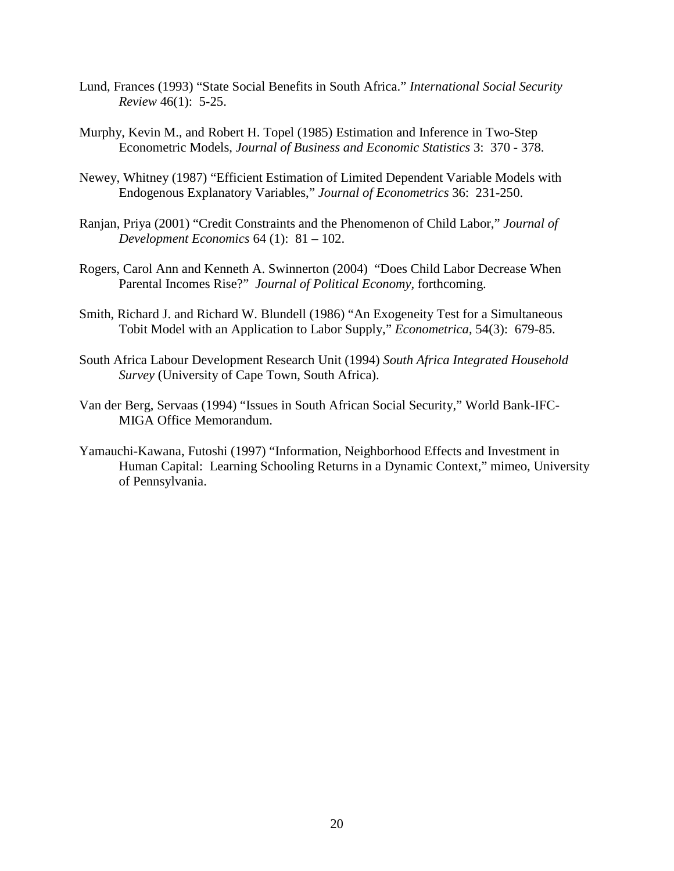- Lund, Frances (1993) "State Social Benefits in South Africa." *International Social Security Review* 46(1): 5-25.
- Murphy, Kevin M., and Robert H. Topel (1985) Estimation and Inference in Two-Step Econometric Models, *Journal of Business and Economic Statistics* 3: 370 - 378.
- Newey, Whitney (1987) "Efficient Estimation of Limited Dependent Variable Models with Endogenous Explanatory Variables," *Journal of Econometrics* 36: 231-250.
- Ranjan, Priya (2001) "Credit Constraints and the Phenomenon of Child Labor," *Journal of Development Economics* 64 (1): 81 – 102.
- Rogers, Carol Ann and Kenneth A. Swinnerton (2004) "Does Child Labor Decrease When Parental Incomes Rise?" *Journal of Political Economy,* forthcoming.
- Smith, Richard J. and Richard W. Blundell (1986) "An Exogeneity Test for a Simultaneous Tobit Model with an Application to Labor Supply," *Econometrica*, 54(3): 679-85.
- South Africa Labour Development Research Unit (1994) *South Africa Integrated Household Survey* (University of Cape Town, South Africa).
- Van der Berg, Servaas (1994) "Issues in South African Social Security," World Bank-IFC-MIGA Office Memorandum.
- Yamauchi-Kawana, Futoshi (1997) "Information, Neighborhood Effects and Investment in Human Capital: Learning Schooling Returns in a Dynamic Context," mimeo, University of Pennsylvania.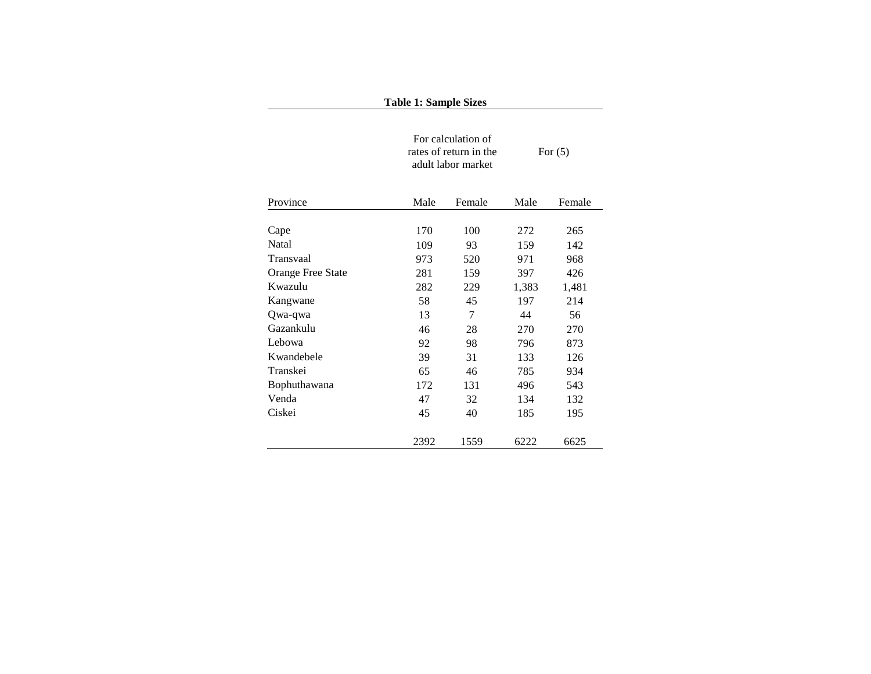|                                                                                                                                                                                          | <b>Table 1: Sample Sizes</b>                                       |                |       |        |
|------------------------------------------------------------------------------------------------------------------------------------------------------------------------------------------|--------------------------------------------------------------------|----------------|-------|--------|
| Province<br>Cape<br><b>Natal</b><br>Transvaal<br>Orange Free State<br>Kwazulu<br>Kangwane<br>Qwa-qwa<br>Gazankulu<br>Lebowa<br>Kwandebele<br>Transkei<br>Bophuthawana<br>Venda<br>Ciskei | For calculation of<br>rates of return in the<br>adult labor market | For $(5)$      |       |        |
|                                                                                                                                                                                          | Male                                                               | Female         | Male  | Female |
|                                                                                                                                                                                          | 170                                                                | 100            | 272   | 265    |
|                                                                                                                                                                                          | 109                                                                | 93             | 159   | 142    |
|                                                                                                                                                                                          | 973                                                                | 520            | 971   | 968    |
|                                                                                                                                                                                          | 281                                                                | 159            | 397   | 426    |
|                                                                                                                                                                                          | 282                                                                | 229            | 1,383 | 1,481  |
|                                                                                                                                                                                          | 58                                                                 | 45             | 197   | 214    |
|                                                                                                                                                                                          | 13                                                                 | $\overline{7}$ | 44    | 56     |
|                                                                                                                                                                                          | 46                                                                 | 28             | 270   | 270    |
|                                                                                                                                                                                          | 92                                                                 | 98             | 796   | 873    |
|                                                                                                                                                                                          | 39                                                                 | 31             | 133   | 126    |
|                                                                                                                                                                                          | 65                                                                 | 46             | 785   | 934    |
|                                                                                                                                                                                          | 172                                                                | 131            | 496   | 543    |
|                                                                                                                                                                                          | 47                                                                 | 32             | 134   | 132    |
|                                                                                                                                                                                          | 45                                                                 | 40             | 185   | 195    |
|                                                                                                                                                                                          | 2392                                                               | 1559           | 6222  | 6625   |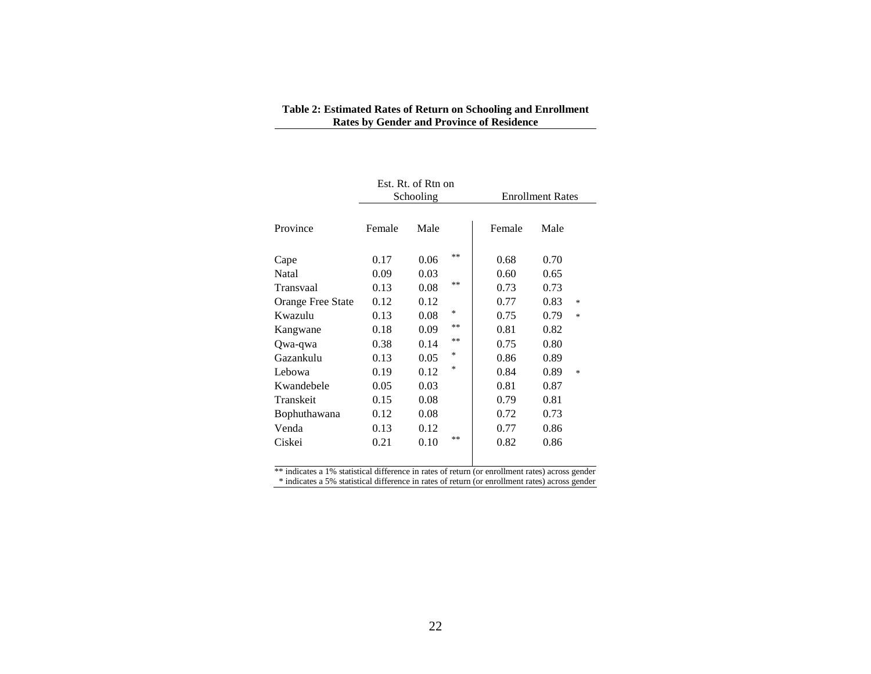| Table 2: Estimated Rates of Return on Schooling and Enrollment |
|----------------------------------------------------------------|
| <b>Rates by Gender and Province of Residence</b>               |

|                   |        | Est. Rt. of Rtn on<br>Schooling |        | <b>Enrollment Rates</b> |      |        |  |
|-------------------|--------|---------------------------------|--------|-------------------------|------|--------|--|
| Province          | Female | Male                            |        | Female                  | Male |        |  |
| Cape              | 0.17   | 0.06                            | **     | 0.68                    | 0.70 |        |  |
| Natal             | 0.09   | 0.03                            |        | 0.60                    | 0.65 |        |  |
| Transvaal         | 0.13   | 0.08                            | **     | 0.73                    | 0.73 |        |  |
| Orange Free State | 0.12   | 0.12                            |        | 0.77                    | 0.83 | $\ast$ |  |
| Kwazulu           | 0.13   | 0.08                            | *      | 0.75                    | 0.79 | $*$    |  |
| Kangwane          | 0.18   | 0.09                            | **     | 0.81                    | 0.82 |        |  |
| Qwa-qwa           | 0.38   | 0.14                            | **     | 0.75                    | 0.80 |        |  |
| Gazankulu         | 0.13   | 0.05                            | *      | 0.86                    | 0.89 |        |  |
| Lebowa            | 0.19   | 0.12                            | $\ast$ | 0.84                    | 0.89 | $*$    |  |
| Kwandebele        | 0.05   | 0.03                            |        | 0.81                    | 0.87 |        |  |
| Transkeit         | 0.15   | 0.08                            |        | 0.79                    | 0.81 |        |  |
| Bophuthawana      | 0.12   | 0.08                            |        | 0.72                    | 0.73 |        |  |
| Venda             | 0.13   | 0.12                            |        | 0.77                    | 0.86 |        |  |
| Ciskei            | 0.21   | 0.10                            | **     | 0.82                    | 0.86 |        |  |

\*\* indicates a 1% statistical difference in rates of return (or enrollment rates) across gender \* indicates a 5% statistical difference in rates of return (or enrollment rates) across gender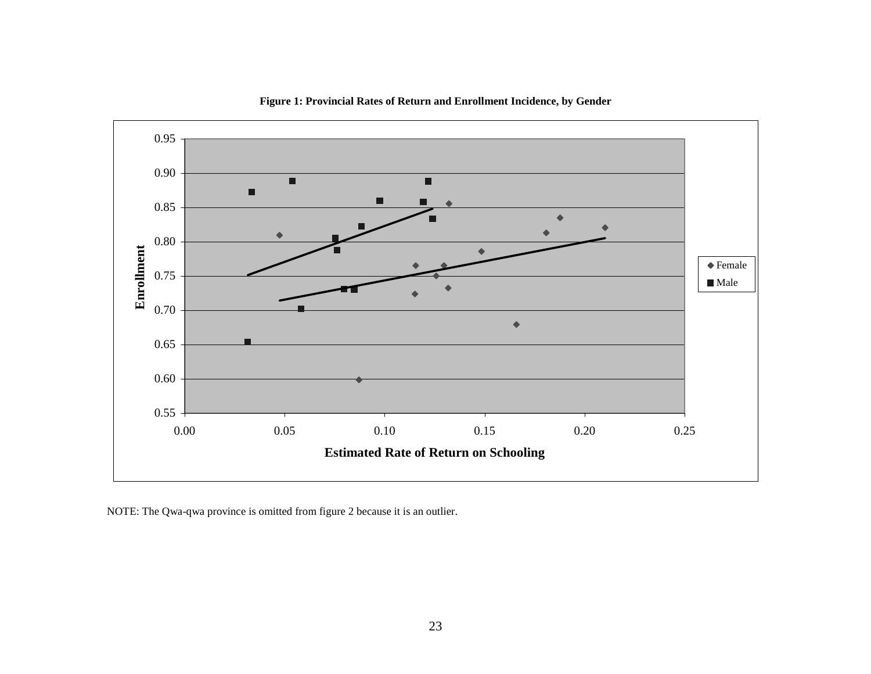

**Figure 1: Provincial Rates of Return and Enrollment Incidence, by Gender** 

NOTE: The Qwa-qwa province is omitted from figure 2 because it is an outlier.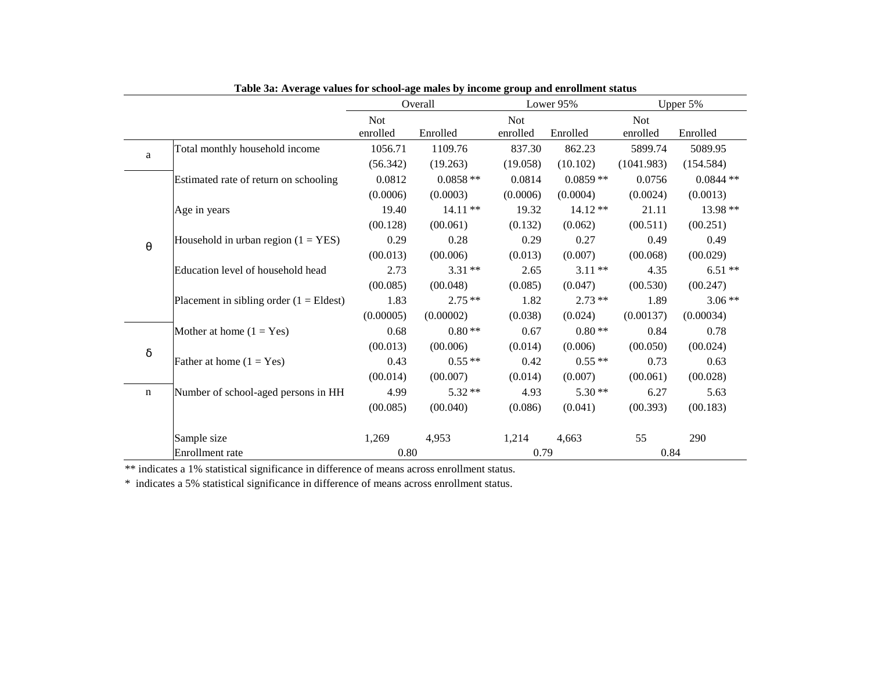|                       |                                                  |            | Overall    |            | Lower 95%  | Upper 5%   |                                                                                                                                                                                                                                                                                  |  |
|-----------------------|--------------------------------------------------|------------|------------|------------|------------|------------|----------------------------------------------------------------------------------------------------------------------------------------------------------------------------------------------------------------------------------------------------------------------------------|--|
|                       |                                                  | <b>Not</b> |            | <b>Not</b> |            | <b>Not</b> |                                                                                                                                                                                                                                                                                  |  |
|                       |                                                  | enrolled   | Enrolled   | enrolled   | Enrolled   | enrolled   |                                                                                                                                                                                                                                                                                  |  |
| a                     | Total monthly household income                   | 1056.71    | 1109.76    | 837.30     | 862.23     | 5899.74    | 5089.95                                                                                                                                                                                                                                                                          |  |
|                       |                                                  | (56.342)   | (19.263)   | (19.058)   | (10.102)   | (1041.983) | Enrolled<br>(154.584)<br>$0.0844**$<br>(0.0013)<br>13.98 **<br>21.11<br>(00.251)<br>0.49<br>0.49<br>(00.029)<br>$6.51**$<br>4.35<br>(00.247)<br>1.89<br>$3.06**$<br>(0.00034)<br>0.84<br>0.78<br>(00.024)<br>0.73<br>0.63<br>(00.028)<br>6.27<br>5.63<br>(00.183)<br>290<br>0.84 |  |
|                       | Estimated rate of return on schooling            | 0.0812     | $0.0858**$ | 0.0814     | $0.0859**$ | 0.0756     |                                                                                                                                                                                                                                                                                  |  |
|                       |                                                  | (0.0006)   | (0.0003)   | (0.0006)   | (0.0004)   | (0.0024)   |                                                                                                                                                                                                                                                                                  |  |
|                       | Age in years                                     | 19.40      | $14.11**$  | 19.32      | $14.12**$  |            |                                                                                                                                                                                                                                                                                  |  |
|                       |                                                  | (00.128)   | (00.061)   | (0.132)    | (0.062)    | (00.511)   |                                                                                                                                                                                                                                                                                  |  |
| $\boldsymbol{\theta}$ | Household in urban region $(1 = YES)$            | 0.29       | 0.28       | 0.29       | 0.27       |            |                                                                                                                                                                                                                                                                                  |  |
|                       |                                                  | (00.013)   | (00.006)   | (0.013)    | (0.007)    | (00.068)   |                                                                                                                                                                                                                                                                                  |  |
|                       | Education level of household head                | 2.73       | $3.31**$   | 2.65       | $3.11**$   |            |                                                                                                                                                                                                                                                                                  |  |
|                       |                                                  | (00.085)   | (00.048)   | (0.085)    | (0.047)    | (00.530)   |                                                                                                                                                                                                                                                                                  |  |
|                       | Placement in sibling order $(1 = \text{Eldest})$ | 1.83       | $2.75**$   | 1.82       | $2.73**$   |            |                                                                                                                                                                                                                                                                                  |  |
|                       |                                                  | (0.00005)  | (0.00002)  | (0.038)    | (0.024)    | (0.00137)  |                                                                                                                                                                                                                                                                                  |  |
|                       | Mother at home $(1 = Yes)$                       | 0.68       | $0.80**$   | 0.67       | $0.80**$   |            |                                                                                                                                                                                                                                                                                  |  |
| $\delta$              |                                                  | (00.013)   | (00.006)   | (0.014)    | (0.006)    | (00.050)   |                                                                                                                                                                                                                                                                                  |  |
|                       | Father at home $(1 = Yes)$                       | 0.43       | $0.55**$   | 0.42       | $0.55**$   |            |                                                                                                                                                                                                                                                                                  |  |
|                       |                                                  | (00.014)   | (00.007)   | (0.014)    | (0.007)    | (00.061)   |                                                                                                                                                                                                                                                                                  |  |
| n                     | Number of school-aged persons in HH              | 4.99       | $5.32**$   | 4.93       | $5.30**$   |            |                                                                                                                                                                                                                                                                                  |  |
|                       |                                                  | (00.085)   | (00.040)   | (0.086)    | (0.041)    | (00.393)   |                                                                                                                                                                                                                                                                                  |  |
|                       | Sample size                                      | 1,269      | 4,953      | 1,214      | 4,663      | 55         |                                                                                                                                                                                                                                                                                  |  |
|                       | Enrollment rate                                  | 0.80       |            | 0.79       |            |            |                                                                                                                                                                                                                                                                                  |  |

**Table 3a: Average values for school-age males by income group and enrollment status** 

\*\* indicates a 1% statistical significance in difference of means across enrollment status.

\* indicates a 5% statistical significance in difference of means across enrollment status.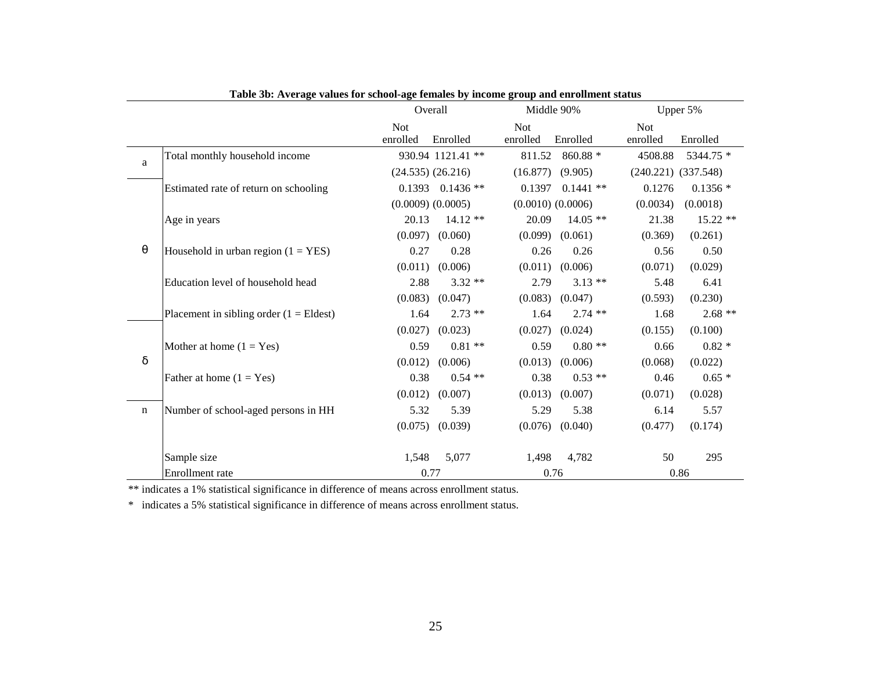|                       |                                                  |                        | Overall               |                        | Middle 90%            |                         | Upper 5%  |
|-----------------------|--------------------------------------------------|------------------------|-----------------------|------------------------|-----------------------|-------------------------|-----------|
|                       |                                                  | <b>Not</b><br>enrolled | Enrolled              | <b>Not</b><br>enrolled | Enrolled              | <b>Not</b><br>enrolled  | Enrolled  |
| $\mathbf{a}$          | Total monthly household income                   |                        | 930.94 1121.41 **     | 811.52                 | $860.88*$             | 4508.88                 | 5344.75 * |
|                       |                                                  |                        | $(24.535)$ $(26.216)$ |                        | $(16.877)$ $(9.905)$  | $(240.221)$ $(337.548)$ |           |
|                       | Estimated rate of return on schooling            |                        | $0.1393$ $0.1436**$   | 0.1397                 | $0.1441$ **           | 0.1276                  | $0.1356*$ |
|                       |                                                  |                        | $(0.0009)$ $(0.0005)$ |                        | $(0.0010)$ $(0.0006)$ | (0.0034)                | (0.0018)  |
|                       | Age in years                                     | 20.13                  | $14.12**$             | 20.09                  | $14.05**$             | 21.38                   | 15.22 **  |
|                       |                                                  | (0.097)                | (0.060)               | (0.099)                | (0.061)               | (0.369)                 | (0.261)   |
| $\boldsymbol{\theta}$ | Household in urban region $(1 = YES)$            | 0.27                   | 0.28                  | 0.26                   | 0.26                  | 0.56                    | 0.50      |
|                       |                                                  | (0.011)                | (0.006)               | (0.011)                | (0.006)               | (0.071)                 | (0.029)   |
|                       | Education level of household head                | 2.88                   | $3.32**$              | 2.79                   | $3.13**$              | 5.48                    | 6.41      |
|                       |                                                  | (0.083)                | (0.047)               | (0.083)                | (0.047)               | (0.593)                 | (0.230)   |
|                       | Placement in sibling order $(1 = \text{Eldest})$ | 1.64                   | $2.73$ **             | 1.64                   | $2.74$ **             | 1.68                    | $2.68**$  |
|                       |                                                  | (0.027)                | (0.023)               | (0.027)                | (0.024)               | (0.155)                 | (0.100)   |
|                       | Mother at home $(1 = Yes)$                       | 0.59                   | $0.81**$              | 0.59                   | $0.80**$              | 0.66                    | $0.82 *$  |
| $\delta$              |                                                  | (0.012)                | (0.006)               | (0.013)                | (0.006)               | (0.068)                 | (0.022)   |
|                       | Father at home $(1 = Yes)$                       | 0.38                   | $0.54**$              | 0.38                   | $0.53**$              | 0.46                    | $0.65*$   |
|                       |                                                  | (0.012)                | (0.007)               | (0.013)                | (0.007)               | (0.071)                 | (0.028)   |
| $\mathbf n$           | Number of school-aged persons in HH              | 5.32                   | 5.39                  | 5.29                   | 5.38                  | 6.14                    | 5.57      |
|                       |                                                  | (0.075)                | (0.039)               | (0.076)                | (0.040)               | (0.477)                 | (0.174)   |
|                       | Sample size                                      | 1,548                  | 5,077                 | 1,498                  | 4,782                 | 50                      | 295       |
|                       | Enrollment rate                                  |                        | 0.77                  |                        | 0.76                  |                         | 0.86      |

|  |  | Table 3b: Average values for school-age females by income group and enrollment status |
|--|--|---------------------------------------------------------------------------------------|
|  |  |                                                                                       |

\*\* indicates a 1% statistical significance in difference of means across enrollment status.

\* indicates a 5% statistical significance in difference of means across enrollment status.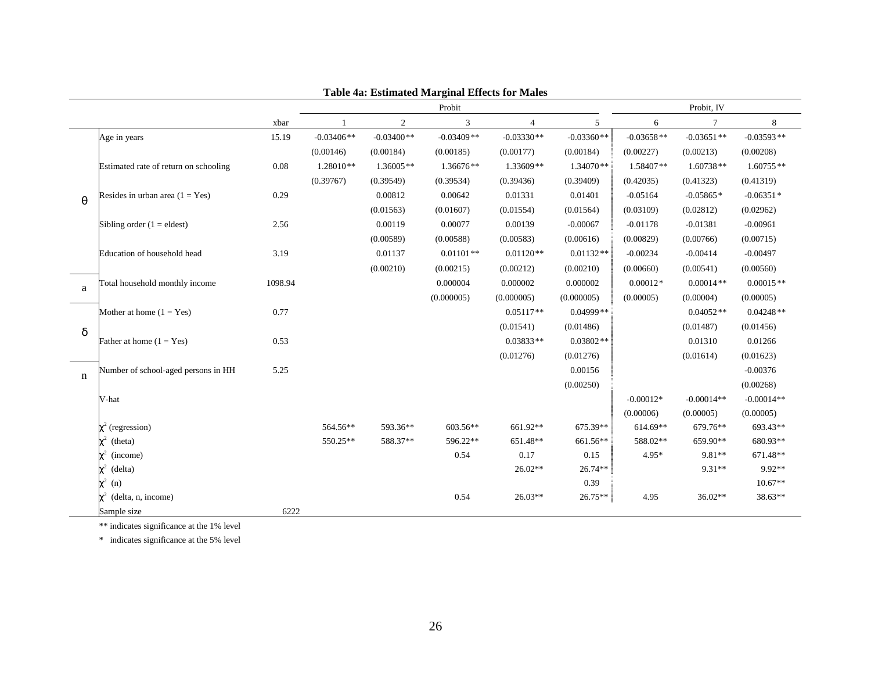|             |                                       |         |              |              | Probit         |                |              |              | Probit, IV   |              |
|-------------|---------------------------------------|---------|--------------|--------------|----------------|----------------|--------------|--------------|--------------|--------------|
|             |                                       | xbar    |              | $\mathbf{2}$ | $\mathfrak{Z}$ | $\overline{4}$ | 5            | 6            | 7            | $\,8\,$      |
|             | Age in years                          | 15.19   | $-0.03406**$ | $-0.03400**$ | $-0.03409**$   | $-0.03330**$   | $-0.03360**$ | $-0.03658**$ | $-0.03651**$ | $-0.03593**$ |
|             |                                       |         | (0.00146)    | (0.00184)    | (0.00185)      | (0.00177)      | (0.00184)    | (0.00227)    | (0.00213)    | (0.00208)    |
|             | Estimated rate of return on schooling | 0.08    | $1.28010**$  | 1.36005**    | 1.36676**      | 1.33609**      | 1.34070**    | 1.58407**    | $1.60738**$  | $1.60755**$  |
|             |                                       |         | (0.39767)    | (0.39549)    | (0.39534)      | (0.39436)      | (0.39409)    | (0.42035)    | (0.41323)    | (0.41319)    |
| $\theta$    | Resides in urban area $(1 = Yes)$     | 0.29    |              | 0.00812      | 0.00642        | 0.01331        | 0.01401      | $-0.05164$   | $-0.05865*$  | $-0.06351*$  |
|             |                                       |         |              | (0.01563)    | (0.01607)      | (0.01554)      | (0.01564)    | (0.03109)    | (0.02812)    | (0.02962)    |
|             | Sibling order $(1 =$ eldest)          | 2.56    |              | 0.00119      | 0.00077        | 0.00139        | $-0.00067$   | $-0.01178$   | $-0.01381$   | $-0.00961$   |
|             |                                       |         |              | (0.00589)    | (0.00588)      | (0.00583)      | (0.00616)    | (0.00829)    | (0.00766)    | (0.00715)    |
|             | Education of household head           | 3.19    |              | 0.01137      | $0.01101**$    | $0.01120**$    | $0.01132**$  | $-0.00234$   | $-0.00414$   | $-0.00497$   |
|             |                                       |         |              | (0.00210)    | (0.00215)      | (0.00212)      | (0.00210)    | (0.00660)    | (0.00541)    | (0.00560)    |
| a           | Total household monthly income        | 1098.94 |              |              | 0.000004       | 0.000002       | 0.000002     | $0.00012*$   | $0.00014**$  | $0.00015**$  |
|             |                                       |         |              |              | (0.000005)     | (0.000005)     | (0.000005)   | (0.00005)    | (0.00004)    | (0.00005)    |
|             | Mother at home $(1 = Yes)$            | 0.77    |              |              |                | $0.05117**$    | $0.04999$ ** |              | $0.04052**$  | $0.04248**$  |
| $\delta$    |                                       |         |              |              |                | (0.01541)      | (0.01486)    |              | (0.01487)    | (0.01456)    |
|             | Father at home $(1 = Yes)$            | 0.53    |              |              |                | $0.03833**$    | $0.03802**$  |              | 0.01310      | 0.01266      |
|             |                                       |         |              |              |                | (0.01276)      | (0.01276)    |              | (0.01614)    | (0.01623)    |
| $\mathbf n$ | Number of school-aged persons in HH   | 5.25    |              |              |                |                | 0.00156      |              |              | $-0.00376$   |
|             |                                       |         |              |              |                |                | (0.00250)    |              |              | (0.00268)    |
|             | V-hat                                 |         |              |              |                |                |              | $-0.00012*$  | $-0.00014**$ | $-0.00014**$ |
|             |                                       |         |              |              |                |                |              | (0.00006)    | (0.00005)    | (0.00005)    |
|             | $\chi^2$ (regression)                 |         | 564.56**     | 593.36**     | 603.56**       | 661.92**       | 675.39**     | 614.69**     | 679.76**     | 693.43**     |
|             | $\chi^2$<br>(theta)                   |         | 550.25**     | 588.37**     | 596.22**       | 651.48**       | 661.56**     | 588.02**     | 659.90**     | 680.93**     |
|             | $\chi^2$<br>(income)                  |         |              |              | 0.54           | 0.17           | 0.15         | 4.95*        | $9.81**$     | 671.48**     |
|             | $\chi^2$<br>(delta)                   |         |              |              |                | 26.02**        | $26.74**$    |              | $9.31**$     | 9.92**       |
|             | $\chi^2$<br>(n)                       |         |              |              |                |                | 0.39         |              |              | $10.67**$    |
|             | $\chi^2$<br>(delta, n, income)        |         |              |              | 0.54           | $26.03**$      | $26.75**$    | 4.95         | $36.02**$    | $38.63**$    |
|             | Sample size                           | 6222    |              |              |                |                |              |              |              |              |

**Table 4a: Estimated Marginal Effects for Males** 

\*\* indicates significance at the 1% level

\* indicates significance at the 5% level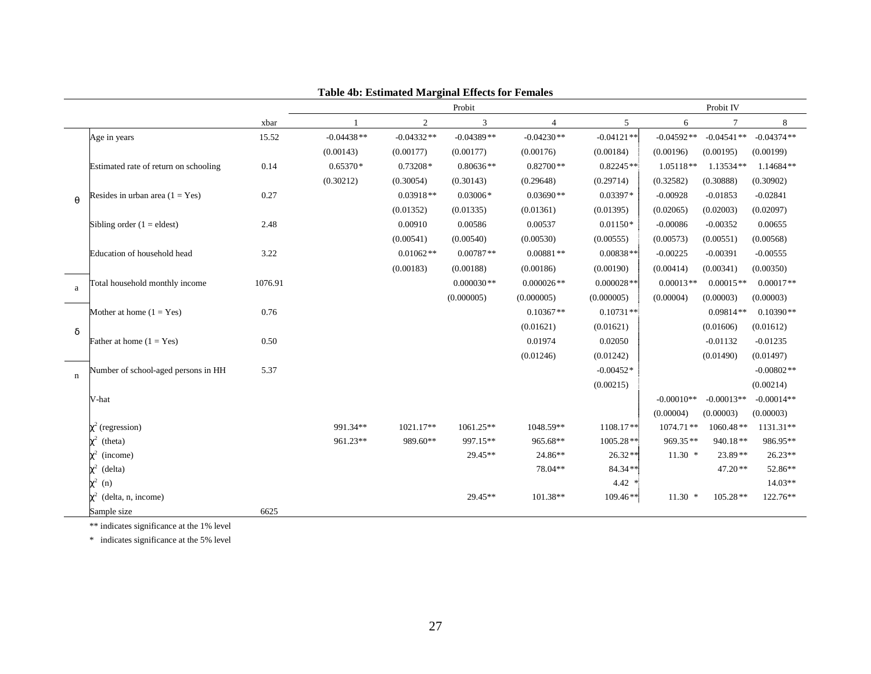|             |                                       |         |              |              | Probit       |                |              |              | Probit IV    |              |
|-------------|---------------------------------------|---------|--------------|--------------|--------------|----------------|--------------|--------------|--------------|--------------|
|             |                                       | xbar    |              | 2            | 3            | $\overline{4}$ | 5            | 6            | $\tau$       | 8            |
|             | Age in years                          | 15.52   | $-0.04438**$ | $-0.04332**$ | $-0.04389**$ | $-0.04230**$   | $-0.04121**$ | $-0.04592**$ | $-0.04541**$ | $-0.04374**$ |
|             |                                       |         | (0.00143)    | (0.00177)    | (0.00177)    | (0.00176)      | (0.00184)    | (0.00196)    | (0.00195)    | (0.00199)    |
|             | Estimated rate of return on schooling | 0.14    | $0.65370*$   | $0.73208*$   | $0.80636**$  | $0.82700**$    | $0.82245**$  | $1.05118**$  | 1.13534**    | $1.14684**$  |
|             |                                       |         | (0.30212)    | (0.30054)    | (0.30143)    | (0.29648)      | (0.29714)    | (0.32582)    | (0.30888)    | (0.30902)    |
| $\theta$    | Resides in urban area $(1 = Yes)$     | 0.27    |              | $0.03918**$  | $0.03006*$   | $0.03690**$    | $0.03397*$   | $-0.00928$   | $-0.01853$   | $-0.02841$   |
|             |                                       |         |              | (0.01352)    | (0.01335)    | (0.01361)      | (0.01395)    | (0.02065)    | (0.02003)    | (0.02097)    |
|             | Sibling order $(1 =$ eldest)          | 2.48    |              | 0.00910      | 0.00586      | 0.00537        | $0.01150*$   | $-0.00086$   | $-0.00352$   | 0.00655      |
|             |                                       |         |              | (0.00541)    | (0.00540)    | (0.00530)      | (0.00555)    | (0.00573)    | (0.00551)    | (0.00568)    |
|             | Education of household head           | 3.22    |              | $0.01062**$  | $0.00787**$  | $0.00881**$    | $0.00838**$  | $-0.00225$   | $-0.00391$   | $-0.00555$   |
|             |                                       |         |              | (0.00183)    | (0.00188)    | (0.00186)      | (0.00190)    | (0.00414)    | (0.00341)    | (0.00350)    |
| a           | Total household monthly income        | 1076.91 |              |              | $0.000030**$ | $0.000026**$   | $0.000028**$ | $0.00013**$  | $0.00015**$  | $0.00017**$  |
|             |                                       |         |              |              | (0.000005)   | (0.000005)     | (0.000005)   | (0.00004)    | (0.00003)    | (0.00003)    |
|             | Mother at home $(1 = Yes)$            | 0.76    |              |              |              | $0.10367**$    | $0.10731**$  |              | $0.09814**$  | $0.10390**$  |
| δ           |                                       |         |              |              |              | (0.01621)      | (0.01621)    |              | (0.01606)    | (0.01612)    |
|             | Father at home $(1 = Yes)$            | 0.50    |              |              |              | 0.01974        | 0.02050      |              | $-0.01132$   | $-0.01235$   |
|             |                                       |         |              |              |              | (0.01246)      | (0.01242)    |              | (0.01490)    | (0.01497)    |
| $\mathbf n$ | Number of school-aged persons in HH   | 5.37    |              |              |              |                | $-0.00452*$  |              |              | $-0.00802**$ |
|             |                                       |         |              |              |              |                | (0.00215)    |              |              | (0.00214)    |
|             | V-hat                                 |         |              |              |              |                |              | $-0.00010**$ | $-0.00013**$ | $-0.00014**$ |
|             |                                       |         |              |              |              |                |              | (0.00004)    | (0.00003)    | (0.00003)    |
|             | $\chi^2$ (regression)                 |         | 991.34**     | 1021.17**    | 1061.25**    | 1048.59**      | 1108.17**    | 1074.71**    | $1060.48**$  | 1131.31**    |
|             | $\chi^2$<br>(theta)                   |         | 961.23**     | 989.60**     | 997.15**     | 965.68**       | $1005.28**$  | 969.35**     | $940.18**$   | 986.95**     |
|             | (income)                              |         |              |              | 29.45**      | 24.86**        | $26.32**$    | $11.30*$     | $23.89**$    | $26.23**$    |
|             | $\chi^2$<br>(delta)                   |         |              |              |              | 78.04**        | 84.34**      |              | $47.20**$    | 52.86**      |
|             | $\chi^2$<br>(n)                       |         |              |              |              |                | $4.42*$      |              |              | $14.03**$    |
|             | $\chi^2$<br>(delta, n, income)        |         |              |              | 29.45**      | 101.38**       | $109.46**$   | $11.30*$     | $105.28**$   | 122.76**     |
|             | Sample size                           | 6625    |              |              |              |                |              |              |              |              |

**Table 4b: Estimated Marginal Effects for Females** 

\*\* indicates significance at the 1% level

\* indicates significance at the 5% level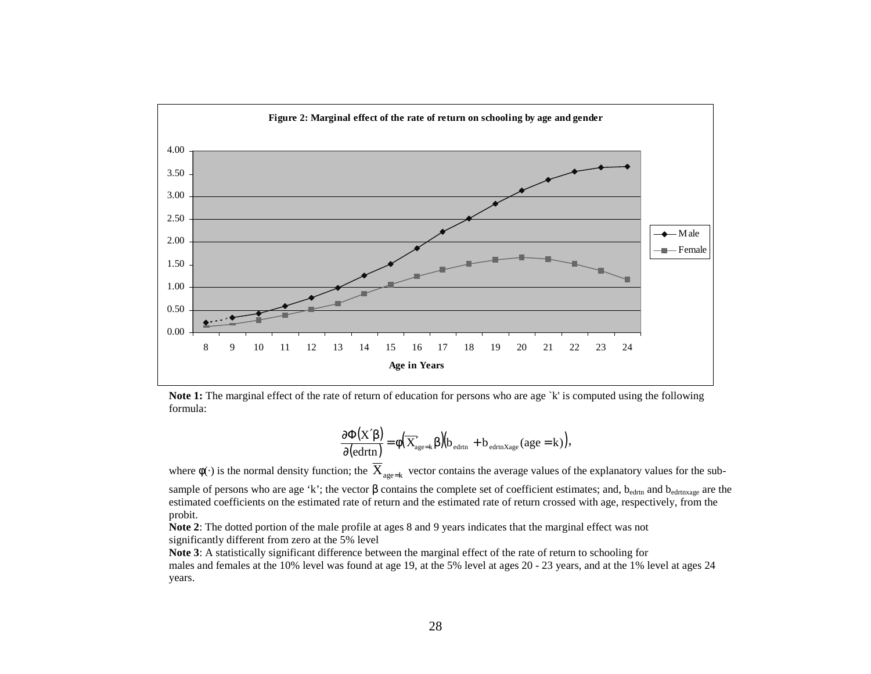

**Note 1:** The marginal effect of the rate of return of education for persons who are age `k' is computed using the following formula:

$$
\frac{\partial \Phi(X'\beta)}{\partial (ed rtn)} = \varphi(\overline{X}_{age=k}'\beta)(b_{ed rtn} + b_{ed rtn Xage}(age = k)),
$$

where  $\phi(\cdot)$  is the normal density function; the  $\,_{\rm age=k}\,$  vector contains the average values of the explanatory values for the subsample of persons who are age 'k'; the vector  $\beta$  contains the complete set of coefficient estimates; and, b<sub>edrtn</sub> and b<sub>edrtnxage</sub> are the estimated coefficients on the estimated rate of return and the estimated rate of return crossed with age, respectively, from the probit.

**Note 2**: The dotted portion of the male profile at ages 8 and 9 years indicates that the marginal effect was not significantly different from zero at the 5% level

**Note 3**: A statistically significant difference between the marginal effect of the rate of return to schooling for males and females at the 10% level was found at age 19, at the 5% level at ages 20 - 23 years, and at the 1% level at ages 24 years.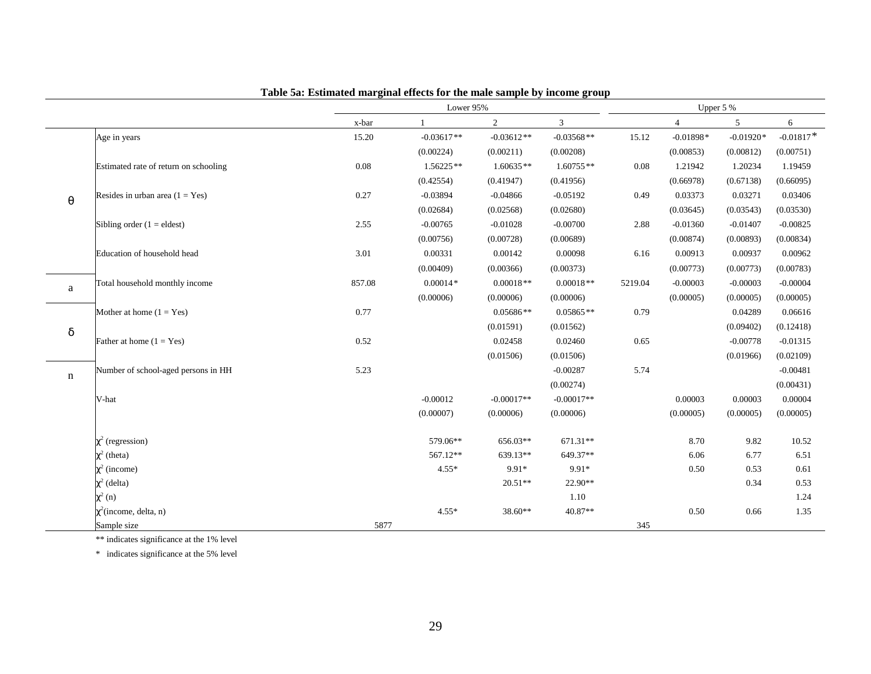|                       |                                       |          | Lower 95%    |                |                |         |                | Upper 5 %   |             |  |  |  |
|-----------------------|---------------------------------------|----------|--------------|----------------|----------------|---------|----------------|-------------|-------------|--|--|--|
|                       |                                       | x-bar    | -1           | $\overline{2}$ | $\overline{3}$ |         | $\overline{4}$ | 5           | 6           |  |  |  |
|                       | Age in years                          | 15.20    | $-0.03617**$ | $-0.03612**$   | $-0.03568**$   | 15.12   | $-0.01898*$    | $-0.01920*$ | $-0.01817*$ |  |  |  |
|                       |                                       |          | (0.00224)    | (0.00211)      | (0.00208)      |         | (0.00853)      | (0.00812)   | (0.00751)   |  |  |  |
|                       | Estimated rate of return on schooling | $0.08\,$ | $1.56225**$  | $1.60635**$    | $1.60755**$    | 0.08    | 1.21942        | 1.20234     | 1.19459     |  |  |  |
|                       |                                       |          | (0.42554)    | (0.41947)      | (0.41956)      |         | (0.66978)      | (0.67138)   | (0.66095)   |  |  |  |
| $\boldsymbol{\theta}$ | Resides in urban area $(1 = Yes)$     | 0.27     | $-0.03894$   | $-0.04866$     | $-0.05192$     | 0.49    | 0.03373        | 0.03271     | 0.03406     |  |  |  |
|                       |                                       |          | (0.02684)    | (0.02568)      | (0.02680)      |         | (0.03645)      | (0.03543)   | (0.03530)   |  |  |  |
|                       | Sibling order $(1 =$ eldest)          | 2.55     | $-0.00765$   | $-0.01028$     | $-0.00700$     | 2.88    | $-0.01360$     | $-0.01407$  | $-0.00825$  |  |  |  |
|                       |                                       |          | (0.00756)    | (0.00728)      | (0.00689)      |         | (0.00874)      | (0.00893)   | (0.00834)   |  |  |  |
|                       | Education of household head           | 3.01     | 0.00331      | 0.00142        | 0.00098        | 6.16    | 0.00913        | 0.00937     | 0.00962     |  |  |  |
|                       |                                       |          | (0.00409)    | (0.00366)      | (0.00373)      |         | (0.00773)      | (0.00773)   | (0.00783)   |  |  |  |
| a                     | Total household monthly income        | 857.08   | $0.00014*$   | $0.00018**$    | $0.00018**$    | 5219.04 | $-0.00003$     | $-0.00003$  | $-0.00004$  |  |  |  |
|                       |                                       |          | (0.00006)    | (0.00006)      | (0.00006)      |         | (0.00005)      | (0.00005)   | (0.00005)   |  |  |  |
|                       | Mother at home $(1 = Yes)$            | 0.77     |              | $0.05686**$    | $0.05865**$    | 0.79    |                | 0.04289     | 0.06616     |  |  |  |
| $\delta$              |                                       |          |              | (0.01591)      | (0.01562)      |         |                | (0.09402)   | (0.12418)   |  |  |  |
|                       | Father at home $(1 = Yes)$            | 0.52     |              | 0.02458        | 0.02460        | 0.65    |                | $-0.00778$  | $-0.01315$  |  |  |  |
|                       |                                       |          |              | (0.01506)      | (0.01506)      |         |                | (0.01966)   | (0.02109)   |  |  |  |
|                       | Number of school-aged persons in HH   | 5.23     |              |                | $-0.00287$     | 5.74    |                |             | $-0.00481$  |  |  |  |
| $\mathbf n$           |                                       |          |              |                | (0.00274)      |         |                |             | (0.00431)   |  |  |  |
|                       | V-hat                                 |          | $-0.00012$   | $-0.00017**$   | $-0.00017**$   |         | 0.00003        | 0.00003     | 0.00004     |  |  |  |
|                       |                                       |          | (0.00007)    | (0.00006)      | (0.00006)      |         | (0.00005)      | (0.00005)   | (0.00005)   |  |  |  |
|                       | $\chi^2$ (regression)                 |          | 579.06**     | 656.03**       | 671.31**       |         | 8.70           | 9.82        | 10.52       |  |  |  |
|                       | $\chi^2$ (theta)                      |          | 567.12**     | 639.13**       | 649.37**       |         | 6.06           | 6.77        | 6.51        |  |  |  |
|                       | $\chi^2$ (income)                     |          | $4.55*$      | 9.91*          | 9.91*          |         | 0.50           | 0.53        | 0.61        |  |  |  |
|                       | $\chi^2$ (delta)                      |          |              | $20.51**$      | 22.90**        |         |                | 0.34        | 0.53        |  |  |  |
|                       | $\chi^2$ (n)                          |          |              |                | 1.10           |         |                |             | 1.24        |  |  |  |
|                       | $\chi^2$ (income, delta, n)           |          | $4.55*$      | $38.60**$      | $40.87**$      |         | 0.50           | 0.66        | 1.35        |  |  |  |
|                       | Sample size                           | 5877     |              |                |                | 345     |                |             |             |  |  |  |

### **Table 5a: Estimated marginal effects for the male sample by income group**

\*\* indicates significance at the 1% level

\* indicates significance at the 5% level